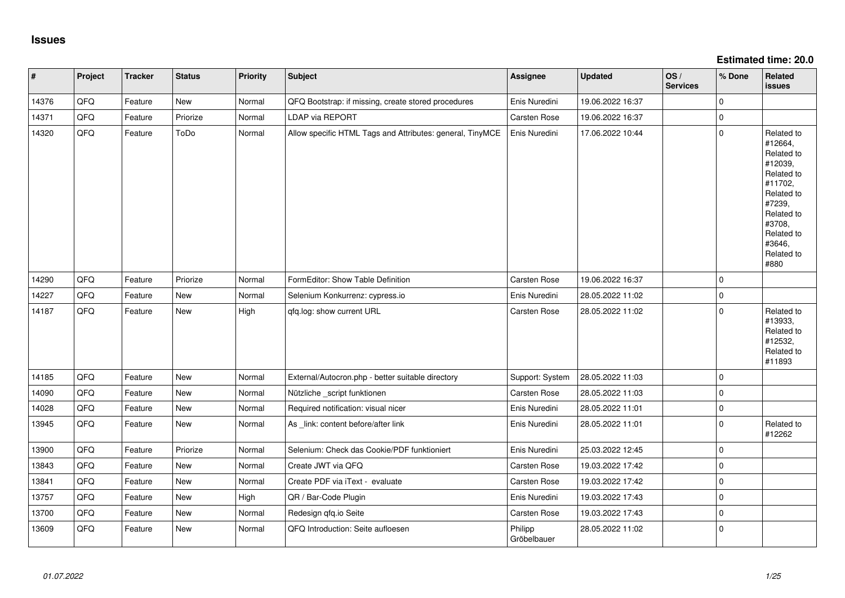**Estimated time: 20.0**

| #     | Project | <b>Tracker</b> | <b>Status</b> | <b>Priority</b> | <b>Subject</b>                                            | Assignee               | <b>Updated</b>   | OS/<br><b>Services</b> | % Done      | Related<br><b>issues</b>                                                                                                                                              |
|-------|---------|----------------|---------------|-----------------|-----------------------------------------------------------|------------------------|------------------|------------------------|-------------|-----------------------------------------------------------------------------------------------------------------------------------------------------------------------|
| 14376 | QFQ     | Feature        | New           | Normal          | QFQ Bootstrap: if missing, create stored procedures       | Enis Nuredini          | 19.06.2022 16:37 |                        | $\mathbf 0$ |                                                                                                                                                                       |
| 14371 | QFQ     | Feature        | Priorize      | Normal          | LDAP via REPORT                                           | Carsten Rose           | 19.06.2022 16:37 |                        | $\mathsf 0$ |                                                                                                                                                                       |
| 14320 | QFQ     | Feature        | ToDo          | Normal          | Allow specific HTML Tags and Attributes: general, TinyMCE | Enis Nuredini          | 17.06.2022 10:44 |                        | $\mathbf 0$ | Related to<br>#12664,<br>Related to<br>#12039,<br>Related to<br>#11702,<br>Related to<br>#7239,<br>Related to<br>#3708,<br>Related to<br>#3646,<br>Related to<br>#880 |
| 14290 | QFQ     | Feature        | Priorize      | Normal          | FormEditor: Show Table Definition                         | Carsten Rose           | 19.06.2022 16:37 |                        | $\mathbf 0$ |                                                                                                                                                                       |
| 14227 | QFQ     | Feature        | <b>New</b>    | Normal          | Selenium Konkurrenz: cypress.io                           | Enis Nuredini          | 28.05.2022 11:02 |                        | $\mathbf 0$ |                                                                                                                                                                       |
| 14187 | QFQ     | Feature        | New           | High            | qfq.log: show current URL                                 | Carsten Rose           | 28.05.2022 11:02 |                        | $\mathbf 0$ | Related to<br>#13933,<br>Related to<br>#12532,<br>Related to<br>#11893                                                                                                |
| 14185 | QFQ     | Feature        | <b>New</b>    | Normal          | External/Autocron.php - better suitable directory         | Support: System        | 28.05.2022 11:03 |                        | $\mathsf 0$ |                                                                                                                                                                       |
| 14090 | QFQ     | Feature        | <b>New</b>    | Normal          | Nützliche _script funktionen                              | Carsten Rose           | 28.05.2022 11:03 |                        | $\mathbf 0$ |                                                                                                                                                                       |
| 14028 | QFQ     | Feature        | <b>New</b>    | Normal          | Required notification: visual nicer                       | Enis Nuredini          | 28.05.2022 11:01 |                        | $\mathbf 0$ |                                                                                                                                                                       |
| 13945 | QFQ     | Feature        | New           | Normal          | As _link: content before/after link                       | Enis Nuredini          | 28.05.2022 11:01 |                        | $\mathbf 0$ | Related to<br>#12262                                                                                                                                                  |
| 13900 | QFQ     | Feature        | Priorize      | Normal          | Selenium: Check das Cookie/PDF funktioniert               | Enis Nuredini          | 25.03.2022 12:45 |                        | $\mathsf 0$ |                                                                                                                                                                       |
| 13843 | QFQ     | Feature        | New           | Normal          | Create JWT via QFQ                                        | Carsten Rose           | 19.03.2022 17:42 |                        | $\mathsf 0$ |                                                                                                                                                                       |
| 13841 | QFQ     | Feature        | <b>New</b>    | Normal          | Create PDF via iText - evaluate                           | Carsten Rose           | 19.03.2022 17:42 |                        | $\mathbf 0$ |                                                                                                                                                                       |
| 13757 | QFQ     | Feature        | New           | High            | QR / Bar-Code Plugin                                      | Enis Nuredini          | 19.03.2022 17:43 |                        | $\mathbf 0$ |                                                                                                                                                                       |
| 13700 | QFQ     | Feature        | New           | Normal          | Redesign qfq.io Seite                                     | Carsten Rose           | 19.03.2022 17:43 |                        | $\mathbf 0$ |                                                                                                                                                                       |
| 13609 | QFQ     | Feature        | New           | Normal          | QFQ Introduction: Seite aufloesen                         | Philipp<br>Gröbelbauer | 28.05.2022 11:02 |                        | $\mathbf 0$ |                                                                                                                                                                       |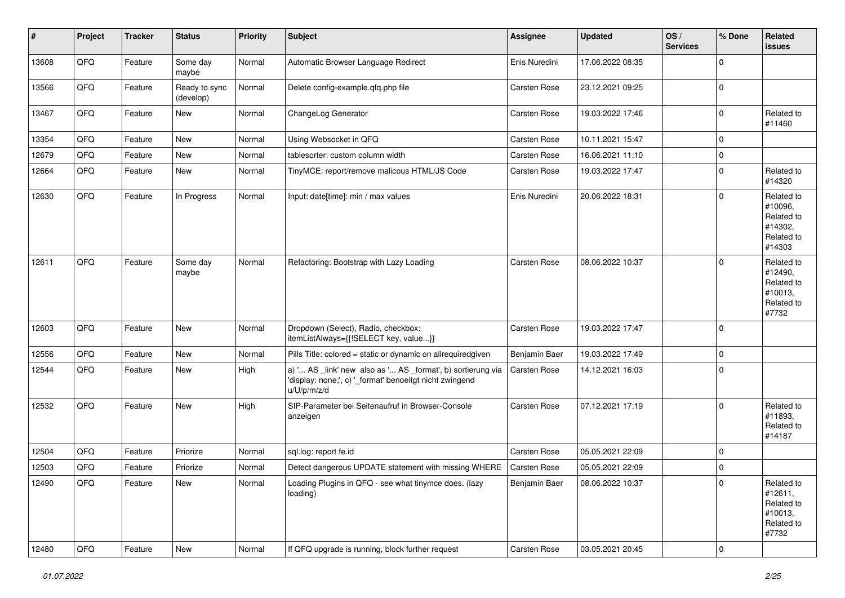| #     | Project | <b>Tracker</b> | <b>Status</b>              | <b>Priority</b> | Subject                                                                                                                               | Assignee            | <b>Updated</b>   | OS/<br><b>Services</b> | % Done      | Related<br>issues                                                      |
|-------|---------|----------------|----------------------------|-----------------|---------------------------------------------------------------------------------------------------------------------------------------|---------------------|------------------|------------------------|-------------|------------------------------------------------------------------------|
| 13608 | QFQ     | Feature        | Some day<br>maybe          | Normal          | Automatic Browser Language Redirect                                                                                                   | Enis Nuredini       | 17.06.2022 08:35 |                        | $\mathbf 0$ |                                                                        |
| 13566 | QFQ     | Feature        | Ready to sync<br>(develop) | Normal          | Delete config-example.qfq.php file                                                                                                    | <b>Carsten Rose</b> | 23.12.2021 09:25 |                        | $\pmb{0}$   |                                                                        |
| 13467 | QFQ     | Feature        | New                        | Normal          | ChangeLog Generator                                                                                                                   | <b>Carsten Rose</b> | 19.03.2022 17:46 |                        | $\mathbf 0$ | Related to<br>#11460                                                   |
| 13354 | QFQ     | Feature        | <b>New</b>                 | Normal          | Using Websocket in QFQ                                                                                                                | <b>Carsten Rose</b> | 10.11.2021 15:47 |                        | $\mathbf 0$ |                                                                        |
| 12679 | QFQ     | Feature        | New                        | Normal          | tablesorter: custom column width                                                                                                      | Carsten Rose        | 16.06.2021 11:10 |                        | $\pmb{0}$   |                                                                        |
| 12664 | QFQ     | Feature        | New                        | Normal          | TinyMCE: report/remove malicous HTML/JS Code                                                                                          | <b>Carsten Rose</b> | 19.03.2022 17:47 |                        | $\mathbf 0$ | Related to<br>#14320                                                   |
| 12630 | QFQ     | Feature        | In Progress                | Normal          | Input: date[time]: min / max values                                                                                                   | Enis Nuredini       | 20.06.2022 18:31 |                        | $\mathbf 0$ | Related to<br>#10096.<br>Related to<br>#14302,<br>Related to<br>#14303 |
| 12611 | QFQ     | Feature        | Some day<br>maybe          | Normal          | Refactoring: Bootstrap with Lazy Loading                                                                                              | Carsten Rose        | 08.06.2022 10:37 |                        | $\mathbf 0$ | Related to<br>#12490,<br>Related to<br>#10013,<br>Related to<br>#7732  |
| 12603 | QFQ     | Feature        | New                        | Normal          | Dropdown (Select), Radio, checkbox:<br>itemListAlways={{!SELECT key, value}}                                                          | Carsten Rose        | 19.03.2022 17:47 |                        | $\mathbf 0$ |                                                                        |
| 12556 | QFQ     | Feature        | New                        | Normal          | Pills Title: colored = static or dynamic on allrequiredgiven                                                                          | Benjamin Baer       | 19.03.2022 17:49 |                        | $\mathbf 0$ |                                                                        |
| 12544 | QFQ     | Feature        | New                        | High            | a) ' AS _link' new also as ' AS _format', b) sortierung via<br>'display: none;', c) '_format' benoeitgt nicht zwingend<br>u/U/p/m/z/d | Carsten Rose        | 14.12.2021 16:03 |                        | $\mathbf 0$ |                                                                        |
| 12532 | QFQ     | Feature        | <b>New</b>                 | High            | SIP-Parameter bei Seitenaufruf in Browser-Console<br>anzeigen                                                                         | <b>Carsten Rose</b> | 07.12.2021 17:19 |                        | $\mathbf 0$ | Related to<br>#11893,<br>Related to<br>#14187                          |
| 12504 | QFQ     | Feature        | Priorize                   | Normal          | sql.log: report fe.id                                                                                                                 | Carsten Rose        | 05.05.2021 22:09 |                        | 0           |                                                                        |
| 12503 | QFQ     | Feature        | Priorize                   | Normal          | Detect dangerous UPDATE statement with missing WHERE   Carsten Rose                                                                   |                     | 05.05.2021 22:09 |                        | $\mathsf 0$ |                                                                        |
| 12490 | QFQ     | Feature        | New                        | Normal          | Loading Plugins in QFQ - see what tinymce does. (lazy<br>loading)                                                                     | Benjamin Baer       | 08.06.2022 10:37 |                        | 0           | Related to<br>#12611,<br>Related to<br>#10013,<br>Related to<br>#7732  |
| 12480 | QFQ     | Feature        | New                        | Normal          | If QFQ upgrade is running, block further request                                                                                      | Carsten Rose        | 03.05.2021 20:45 |                        | 0           |                                                                        |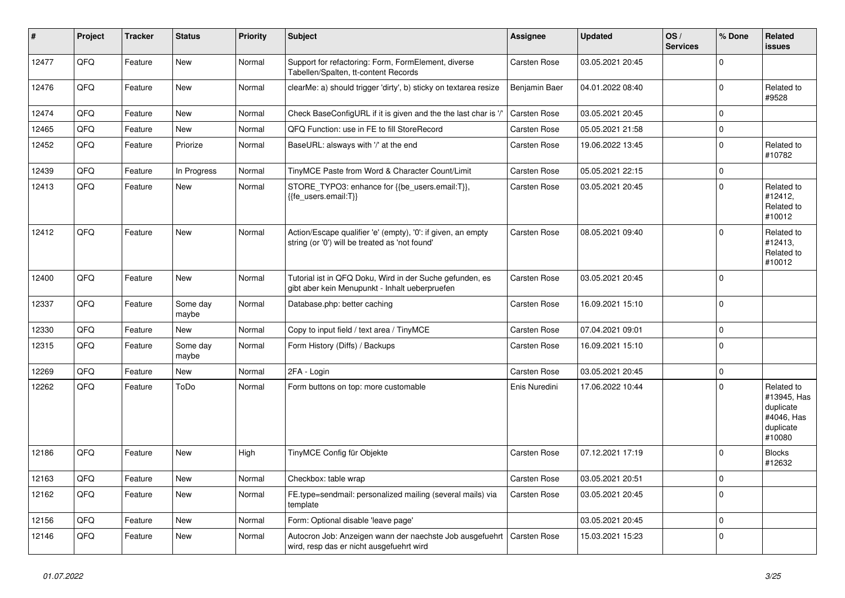| #     | Project | <b>Tracker</b> | <b>Status</b>     | Priority | <b>Subject</b>                                                                                                 | <b>Assignee</b>     | <b>Updated</b>   | OS/<br><b>Services</b> | % Done      | Related<br><b>issues</b>                                                    |
|-------|---------|----------------|-------------------|----------|----------------------------------------------------------------------------------------------------------------|---------------------|------------------|------------------------|-------------|-----------------------------------------------------------------------------|
| 12477 | QFQ     | Feature        | <b>New</b>        | Normal   | Support for refactoring: Form, FormElement, diverse<br>Tabellen/Spalten, tt-content Records                    | <b>Carsten Rose</b> | 03.05.2021 20:45 |                        | $\Omega$    |                                                                             |
| 12476 | QFQ     | Feature        | <b>New</b>        | Normal   | clearMe: a) should trigger 'dirty', b) sticky on textarea resize                                               | Benjamin Baer       | 04.01.2022 08:40 |                        | $\Omega$    | Related to<br>#9528                                                         |
| 12474 | QFQ     | Feature        | New               | Normal   | Check BaseConfigURL if it is given and the the last char is '/'                                                | Carsten Rose        | 03.05.2021 20:45 |                        | $\Omega$    |                                                                             |
| 12465 | QFQ     | Feature        | <b>New</b>        | Normal   | QFQ Function: use in FE to fill StoreRecord                                                                    | Carsten Rose        | 05.05.2021 21:58 |                        | $\mathbf 0$ |                                                                             |
| 12452 | QFQ     | Feature        | Priorize          | Normal   | BaseURL: alsways with '/' at the end                                                                           | Carsten Rose        | 19.06.2022 13:45 |                        | $\Omega$    | Related to<br>#10782                                                        |
| 12439 | QFQ     | Feature        | In Progress       | Normal   | TinyMCE Paste from Word & Character Count/Limit                                                                | Carsten Rose        | 05.05.2021 22:15 |                        | 0           |                                                                             |
| 12413 | QFQ     | Feature        | <b>New</b>        | Normal   | STORE TYPO3: enhance for {{be users.email:T}},<br>{{fe users.email:T}}                                         | <b>Carsten Rose</b> | 03.05.2021 20:45 |                        | $\Omega$    | Related to<br>#12412,<br>Related to<br>#10012                               |
| 12412 | QFQ     | Feature        | <b>New</b>        | Normal   | Action/Escape qualifier 'e' (empty), '0': if given, an empty<br>string (or '0') will be treated as 'not found' | Carsten Rose        | 08.05.2021 09:40 |                        | $\Omega$    | Related to<br>#12413,<br>Related to<br>#10012                               |
| 12400 | QFQ     | Feature        | New               | Normal   | Tutorial ist in QFQ Doku, Wird in der Suche gefunden, es<br>gibt aber kein Menupunkt - Inhalt ueberpruefen     | <b>Carsten Rose</b> | 03.05.2021 20:45 |                        | $\Omega$    |                                                                             |
| 12337 | QFQ     | Feature        | Some day<br>maybe | Normal   | Database.php: better caching                                                                                   | Carsten Rose        | 16.09.2021 15:10 |                        | $\Omega$    |                                                                             |
| 12330 | QFQ     | Feature        | <b>New</b>        | Normal   | Copy to input field / text area / TinyMCE                                                                      | Carsten Rose        | 07.04.2021 09:01 |                        | $\Omega$    |                                                                             |
| 12315 | QFQ     | Feature        | Some day<br>maybe | Normal   | Form History (Diffs) / Backups                                                                                 | Carsten Rose        | 16.09.2021 15:10 |                        | $\Omega$    |                                                                             |
| 12269 | QFQ     | Feature        | New               | Normal   | 2FA - Login                                                                                                    | Carsten Rose        | 03.05.2021 20:45 |                        | $\Omega$    |                                                                             |
| 12262 | QFQ     | Feature        | ToDo              | Normal   | Form buttons on top: more customable                                                                           | Enis Nuredini       | 17.06.2022 10:44 |                        | $\Omega$    | Related to<br>#13945, Has<br>duplicate<br>#4046, Has<br>duplicate<br>#10080 |
| 12186 | QFQ     | Feature        | <b>New</b>        | High     | TinyMCE Config für Objekte                                                                                     | <b>Carsten Rose</b> | 07.12.2021 17:19 |                        | $\Omega$    | <b>Blocks</b><br>#12632                                                     |
| 12163 | QFQ     | Feature        | New               | Normal   | Checkbox: table wrap                                                                                           | Carsten Rose        | 03.05.2021 20:51 |                        | $\Omega$    |                                                                             |
| 12162 | QFQ     | Feature        | New               | Normal   | FE.type=sendmail: personalized mailing (several mails) via<br>template                                         | <b>Carsten Rose</b> | 03.05.2021 20:45 |                        | $\Omega$    |                                                                             |
| 12156 | QFQ     | Feature        | New               | Normal   | Form: Optional disable 'leave page'                                                                            |                     | 03.05.2021 20:45 |                        | $\Omega$    |                                                                             |
| 12146 | QFQ     | Feature        | New               | Normal   | Autocron Job: Anzeigen wann der naechste Job ausgefuehrt<br>wird, resp das er nicht ausgefuehrt wird           | <b>Carsten Rose</b> | 15.03.2021 15:23 |                        | $\Omega$    |                                                                             |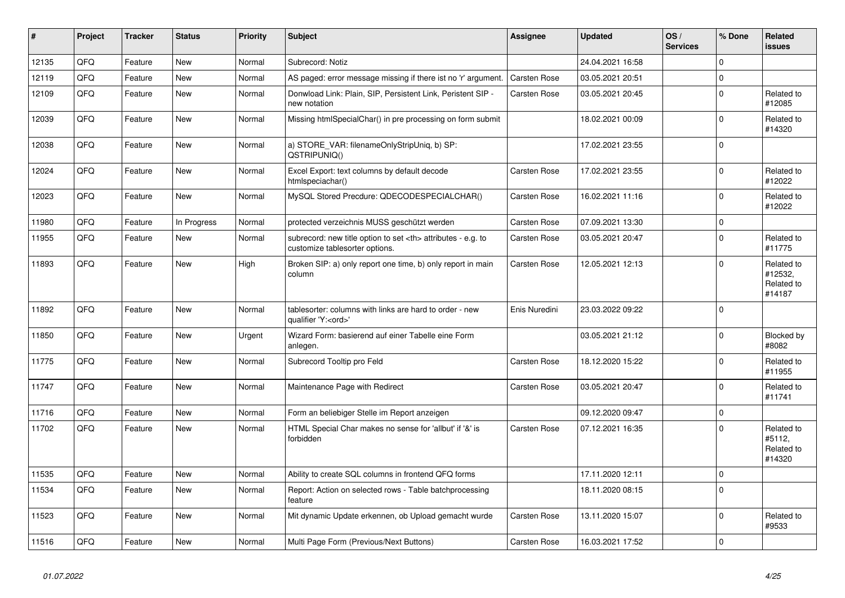| #     | Project | <b>Tracker</b> | <b>Status</b> | <b>Priority</b> | <b>Subject</b>                                                                                       | Assignee                                               | <b>Updated</b>   | OS/<br><b>Services</b> | % Done   | Related<br><b>issues</b>                      |                      |
|-------|---------|----------------|---------------|-----------------|------------------------------------------------------------------------------------------------------|--------------------------------------------------------|------------------|------------------------|----------|-----------------------------------------------|----------------------|
| 12135 | QFQ     | Feature        | <b>New</b>    | Normal          | Subrecord: Notiz                                                                                     |                                                        | 24.04.2021 16:58 |                        | $\Omega$ |                                               |                      |
| 12119 | QFQ     | Feature        | <b>New</b>    | Normal          | AS paged: error message missing if there ist no 'r' argument.                                        | <b>Carsten Rose</b>                                    | 03.05.2021 20:51 |                        | $\Omega$ |                                               |                      |
| 12109 | QFQ     | Feature        | <b>New</b>    | Normal          | Donwload Link: Plain, SIP, Persistent Link, Peristent SIP -<br>new notation                          | Carsten Rose                                           | 03.05.2021 20:45 |                        | $\Omega$ | Related to<br>#12085                          |                      |
| 12039 | QFQ     | Feature        | <b>New</b>    | Normal          | Missing htmlSpecialChar() in pre processing on form submit                                           |                                                        | 18.02.2021 00:09 |                        | $\Omega$ | Related to<br>#14320                          |                      |
| 12038 | QFQ     | Feature        | <b>New</b>    | Normal          | a) STORE_VAR: filenameOnlyStripUniq, b) SP:<br>QSTRIPUNIQ()                                          |                                                        | 17.02.2021 23:55 |                        | $\Omega$ |                                               |                      |
| 12024 | QFQ     | Feature        | New           | Normal          | Excel Export: text columns by default decode<br>htmlspeciachar()                                     | Carsten Rose                                           | 17.02.2021 23:55 |                        | 0        | Related to<br>#12022                          |                      |
| 12023 | QFQ     | Feature        | New           | Normal          | MySQL Stored Precdure: QDECODESPECIALCHAR()                                                          | <b>Carsten Rose</b>                                    | 16.02.2021 11:16 |                        | $\Omega$ | Related to<br>#12022                          |                      |
| 11980 | QFQ     | Feature        | In Progress   | Normal          | protected verzeichnis MUSS geschützt werden                                                          | <b>Carsten Rose</b>                                    | 07.09.2021 13:30 |                        | $\Omega$ |                                               |                      |
| 11955 | QFQ     | Feature        | New           | Normal          | subrecord: new title option to set <th> attributes - e.g. to<br/>customize tablesorter options.</th> | attributes - e.g. to<br>customize tablesorter options. | Carsten Rose     | 03.05.2021 20:47       |          | $\Omega$                                      | Related to<br>#11775 |
| 11893 | QFQ     | Feature        | <b>New</b>    | High            | Broken SIP: a) only report one time, b) only report in main<br>column                                | <b>Carsten Rose</b>                                    | 12.05.2021 12:13 |                        | $\Omega$ | Related to<br>#12532,<br>Related to<br>#14187 |                      |
| 11892 | QFQ     | Feature        | New           | Normal          | tablesorter: columns with links are hard to order - new<br>qualifier 'Y: <ord>'</ord>                | Enis Nuredini                                          | 23.03.2022 09:22 |                        | $\Omega$ |                                               |                      |
| 11850 | QFQ     | Feature        | <b>New</b>    | Urgent          | Wizard Form: basierend auf einer Tabelle eine Form<br>anlegen.                                       |                                                        | 03.05.2021 21:12 |                        | $\Omega$ | Blocked by<br>#8082                           |                      |
| 11775 | QFQ     | Feature        | <b>New</b>    | Normal          | Subrecord Tooltip pro Feld                                                                           | Carsten Rose                                           | 18.12.2020 15:22 |                        | $\Omega$ | Related to<br>#11955                          |                      |
| 11747 | QFQ     | Feature        | New           | Normal          | Maintenance Page with Redirect                                                                       | Carsten Rose                                           | 03.05.2021 20:47 |                        | 0        | Related to<br>#11741                          |                      |
| 11716 | QFQ     | Feature        | <b>New</b>    | Normal          | Form an beliebiger Stelle im Report anzeigen                                                         |                                                        | 09.12.2020 09:47 |                        | $\Omega$ |                                               |                      |
| 11702 | QFQ     | Feature        | New           | Normal          | HTML Special Char makes no sense for 'allbut' if '&' is<br>forbidden                                 | <b>Carsten Rose</b>                                    | 07.12.2021 16:35 |                        | $\Omega$ | Related to<br>#5112,<br>Related to<br>#14320  |                      |
| 11535 | QFQ     | Feature        | <b>New</b>    | Normal          | Ability to create SQL columns in frontend QFQ forms                                                  |                                                        | 17.11.2020 12:11 |                        | $\Omega$ |                                               |                      |
| 11534 | QFQ     | Feature        | <b>New</b>    | Normal          | Report: Action on selected rows - Table batchprocessing<br>feature                                   |                                                        | 18.11.2020 08:15 |                        | $\Omega$ |                                               |                      |
| 11523 | QFQ     | Feature        | <b>New</b>    | Normal          | Mit dynamic Update erkennen, ob Upload gemacht wurde                                                 | <b>Carsten Rose</b>                                    | 13.11.2020 15:07 |                        | $\Omega$ | Related to<br>#9533                           |                      |
| 11516 | QFQ     | Feature        | New           | Normal          | Multi Page Form (Previous/Next Buttons)                                                              | <b>Carsten Rose</b>                                    | 16.03.2021 17:52 |                        | $\Omega$ |                                               |                      |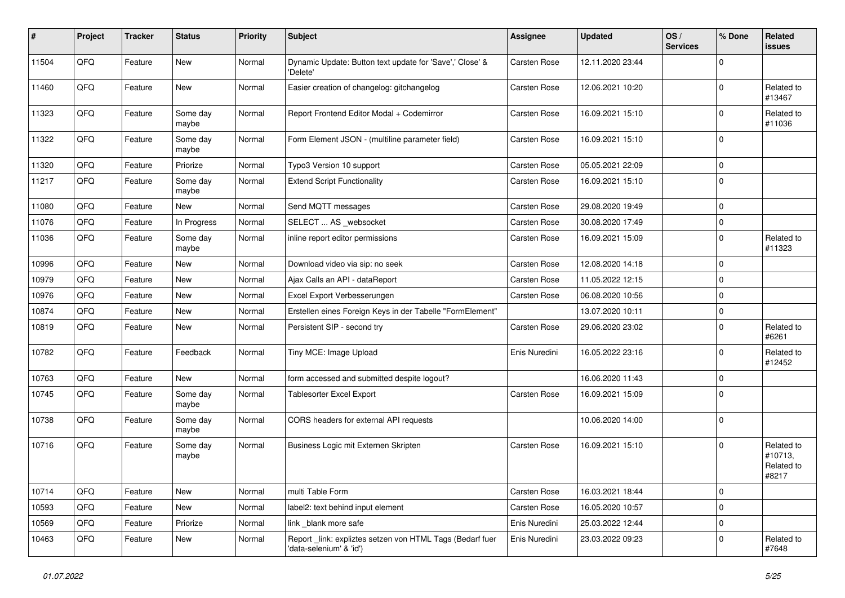| #     | Project | <b>Tracker</b> | <b>Status</b>     | <b>Priority</b> | Subject                                                                             | Assignee            | <b>Updated</b>   | OS/<br><b>Services</b> | % Done      | Related<br><b>issues</b>                     |
|-------|---------|----------------|-------------------|-----------------|-------------------------------------------------------------------------------------|---------------------|------------------|------------------------|-------------|----------------------------------------------|
| 11504 | QFQ     | Feature        | <b>New</b>        | Normal          | Dynamic Update: Button text update for 'Save',' Close' &<br>'Delete'                | Carsten Rose        | 12.11.2020 23:44 |                        | $\mathbf 0$ |                                              |
| 11460 | QFQ     | Feature        | New               | Normal          | Easier creation of changelog: gitchangelog                                          | Carsten Rose        | 12.06.2021 10:20 |                        | $\mathbf 0$ | Related to<br>#13467                         |
| 11323 | QFQ     | Feature        | Some day<br>maybe | Normal          | Report Frontend Editor Modal + Codemirror                                           | Carsten Rose        | 16.09.2021 15:10 |                        | $\mathbf 0$ | Related to<br>#11036                         |
| 11322 | QFQ     | Feature        | Some day<br>maybe | Normal          | Form Element JSON - (multiline parameter field)                                     | Carsten Rose        | 16.09.2021 15:10 |                        | $\mathbf 0$ |                                              |
| 11320 | QFQ     | Feature        | Priorize          | Normal          | Typo3 Version 10 support                                                            | Carsten Rose        | 05.05.2021 22:09 |                        | $\mathbf 0$ |                                              |
| 11217 | QFQ     | Feature        | Some day<br>maybe | Normal          | <b>Extend Script Functionality</b>                                                  | Carsten Rose        | 16.09.2021 15:10 |                        | $\mathbf 0$ |                                              |
| 11080 | QFQ     | Feature        | New               | Normal          | Send MQTT messages                                                                  | Carsten Rose        | 29.08.2020 19:49 |                        | $\mathbf 0$ |                                              |
| 11076 | QFQ     | Feature        | In Progress       | Normal          | SELECT  AS _websocket                                                               | Carsten Rose        | 30.08.2020 17:49 |                        | $\mathbf 0$ |                                              |
| 11036 | QFQ     | Feature        | Some day<br>maybe | Normal          | inline report editor permissions                                                    | Carsten Rose        | 16.09.2021 15:09 |                        | $\mathbf 0$ | Related to<br>#11323                         |
| 10996 | QFQ     | Feature        | New               | Normal          | Download video via sip: no seek                                                     | Carsten Rose        | 12.08.2020 14:18 |                        | $\mathbf 0$ |                                              |
| 10979 | QFQ     | Feature        | New               | Normal          | Ajax Calls an API - dataReport                                                      | Carsten Rose        | 11.05.2022 12:15 |                        | $\mathbf 0$ |                                              |
| 10976 | QFQ     | Feature        | New               | Normal          | Excel Export Verbesserungen                                                         | Carsten Rose        | 06.08.2020 10:56 |                        | $\mathbf 0$ |                                              |
| 10874 | QFQ     | Feature        | New               | Normal          | Erstellen eines Foreign Keys in der Tabelle "FormElement"                           |                     | 13.07.2020 10:11 |                        | $\mathbf 0$ |                                              |
| 10819 | QFQ     | Feature        | <b>New</b>        | Normal          | Persistent SIP - second try                                                         | Carsten Rose        | 29.06.2020 23:02 |                        | $\mathbf 0$ | Related to<br>#6261                          |
| 10782 | QFQ     | Feature        | Feedback          | Normal          | Tiny MCE: Image Upload                                                              | Enis Nuredini       | 16.05.2022 23:16 |                        | $\mathbf 0$ | Related to<br>#12452                         |
| 10763 | QFQ     | Feature        | <b>New</b>        | Normal          | form accessed and submitted despite logout?                                         |                     | 16.06.2020 11:43 |                        | $\mathbf 0$ |                                              |
| 10745 | QFQ     | Feature        | Some day<br>maybe | Normal          | <b>Tablesorter Excel Export</b>                                                     | Carsten Rose        | 16.09.2021 15:09 |                        | $\mathbf 0$ |                                              |
| 10738 | QFQ     | Feature        | Some day<br>maybe | Normal          | CORS headers for external API requests                                              |                     | 10.06.2020 14:00 |                        | $\mathbf 0$ |                                              |
| 10716 | QFQ     | Feature        | Some day<br>maybe | Normal          | Business Logic mit Externen Skripten                                                | <b>Carsten Rose</b> | 16.09.2021 15:10 |                        | $\mathbf 0$ | Related to<br>#10713,<br>Related to<br>#8217 |
| 10714 | QFQ     | Feature        | New               | Normal          | multi Table Form                                                                    | Carsten Rose        | 16.03.2021 18:44 |                        | $\mathbf 0$ |                                              |
| 10593 | QFQ     | Feature        | New               | Normal          | label2: text behind input element                                                   | Carsten Rose        | 16.05.2020 10:57 |                        | $\mathbf 0$ |                                              |
| 10569 | QFQ     | Feature        | Priorize          | Normal          | link _blank more safe                                                               | Enis Nuredini       | 25.03.2022 12:44 |                        | $\mathbf 0$ |                                              |
| 10463 | QFQ     | Feature        | New               | Normal          | Report link: expliztes setzen von HTML Tags (Bedarf fuer<br>'data-selenium' & 'id') | Enis Nuredini       | 23.03.2022 09:23 |                        | $\mathbf 0$ | Related to<br>#7648                          |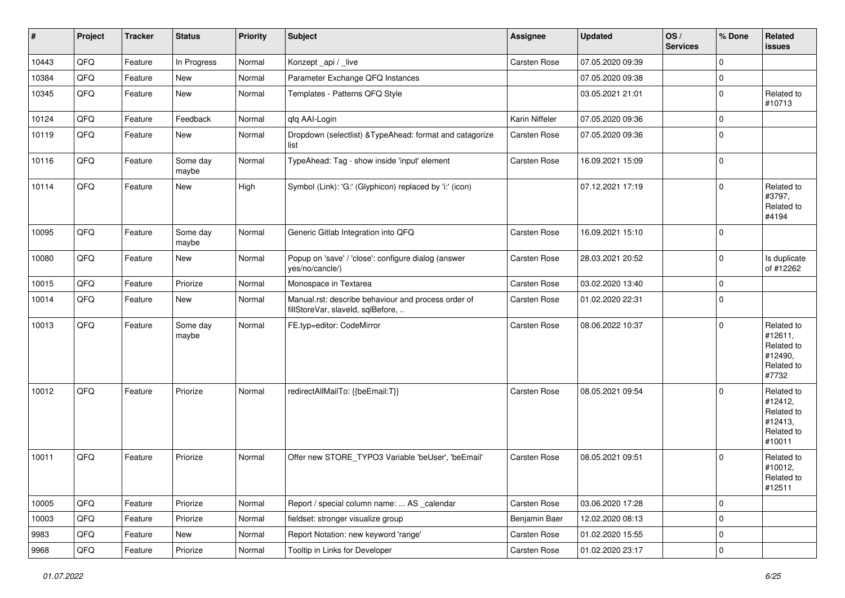| $\sharp$ | Project | <b>Tracker</b> | <b>Status</b>     | Priority | <b>Subject</b>                                                                           | Assignee            | <b>Updated</b>   | OS/<br><b>Services</b> | % Done      | Related<br>issues                                                      |
|----------|---------|----------------|-------------------|----------|------------------------------------------------------------------------------------------|---------------------|------------------|------------------------|-------------|------------------------------------------------------------------------|
| 10443    | QFQ     | Feature        | In Progress       | Normal   | Konzept_api / _live                                                                      | <b>Carsten Rose</b> | 07.05.2020 09:39 |                        | $\mathbf 0$ |                                                                        |
| 10384    | QFQ     | Feature        | New               | Normal   | Parameter Exchange QFQ Instances                                                         |                     | 07.05.2020 09:38 |                        | $\pmb{0}$   |                                                                        |
| 10345    | QFQ     | Feature        | New               | Normal   | Templates - Patterns QFQ Style                                                           |                     | 03.05.2021 21:01 |                        | $\mathbf 0$ | Related to<br>#10713                                                   |
| 10124    | QFQ     | Feature        | Feedback          | Normal   | qfq AAI-Login                                                                            | Karin Niffeler      | 07.05.2020 09:36 |                        | $\pmb{0}$   |                                                                        |
| 10119    | QFQ     | Feature        | New               | Normal   | Dropdown (selectlist) & TypeAhead: format and catagorize<br>list                         | <b>Carsten Rose</b> | 07.05.2020 09:36 |                        | $\mathbf 0$ |                                                                        |
| 10116    | QFQ     | Feature        | Some day<br>maybe | Normal   | TypeAhead: Tag - show inside 'input' element                                             | Carsten Rose        | 16.09.2021 15:09 |                        | $\mathbf 0$ |                                                                        |
| 10114    | QFQ     | Feature        | <b>New</b>        | High     | Symbol (Link): 'G:' (Glyphicon) replaced by 'i:' (icon)                                  |                     | 07.12.2021 17:19 |                        | $\mathbf 0$ | Related to<br>#3797,<br>Related to<br>#4194                            |
| 10095    | QFQ     | Feature        | Some day<br>maybe | Normal   | Generic Gitlab Integration into QFQ                                                      | <b>Carsten Rose</b> | 16.09.2021 15:10 |                        | $\mathbf 0$ |                                                                        |
| 10080    | QFQ     | Feature        | New               | Normal   | Popup on 'save' / 'close': configure dialog (answer<br>yes/no/cancle/)                   | Carsten Rose        | 28.03.2021 20:52 |                        | $\mathbf 0$ | Is duplicate<br>of #12262                                              |
| 10015    | QFQ     | Feature        | Priorize          | Normal   | Monospace in Textarea                                                                    | Carsten Rose        | 03.02.2020 13:40 |                        | $\mathbf 0$ |                                                                        |
| 10014    | QFQ     | Feature        | New               | Normal   | Manual.rst: describe behaviour and process order of<br>fillStoreVar, slaveId, sqlBefore, | Carsten Rose        | 01.02.2020 22:31 |                        | $\Omega$    |                                                                        |
| 10013    | QFQ     | Feature        | Some day<br>maybe | Normal   | FE.typ=editor: CodeMirror                                                                | Carsten Rose        | 08.06.2022 10:37 |                        | $\mathbf 0$ | Related to<br>#12611,<br>Related to<br>#12490,<br>Related to<br>#7732  |
| 10012    | QFQ     | Feature        | Priorize          | Normal   | redirectAllMailTo: {{beEmail:T}}                                                         | <b>Carsten Rose</b> | 08.05.2021 09:54 |                        | $\mathbf 0$ | Related to<br>#12412,<br>Related to<br>#12413,<br>Related to<br>#10011 |
| 10011    | QFQ     | Feature        | Priorize          | Normal   | Offer new STORE_TYPO3 Variable 'beUser', 'beEmail'                                       | <b>Carsten Rose</b> | 08.05.2021 09:51 |                        | $\mathbf 0$ | Related to<br>#10012,<br>Related to<br>#12511                          |
| 10005    | QFG     | Feature        | Priorize          | Normal   | Report / special column name:  AS _calendar                                              | Carsten Rose        | 03.06.2020 17:28 |                        | $\mathsf 0$ |                                                                        |
| 10003    | QFQ     | Feature        | Priorize          | Normal   | fieldset: stronger visualize group                                                       | Benjamin Baer       | 12.02.2020 08:13 |                        | $\pmb{0}$   |                                                                        |
| 9983     | QFQ     | Feature        | New               | Normal   | Report Notation: new keyword 'range'                                                     | Carsten Rose        | 01.02.2020 15:55 |                        | 0           |                                                                        |
| 9968     | QFG     | Feature        | Priorize          | Normal   | Tooltip in Links for Developer                                                           | Carsten Rose        | 01.02.2020 23:17 |                        | $\pmb{0}$   |                                                                        |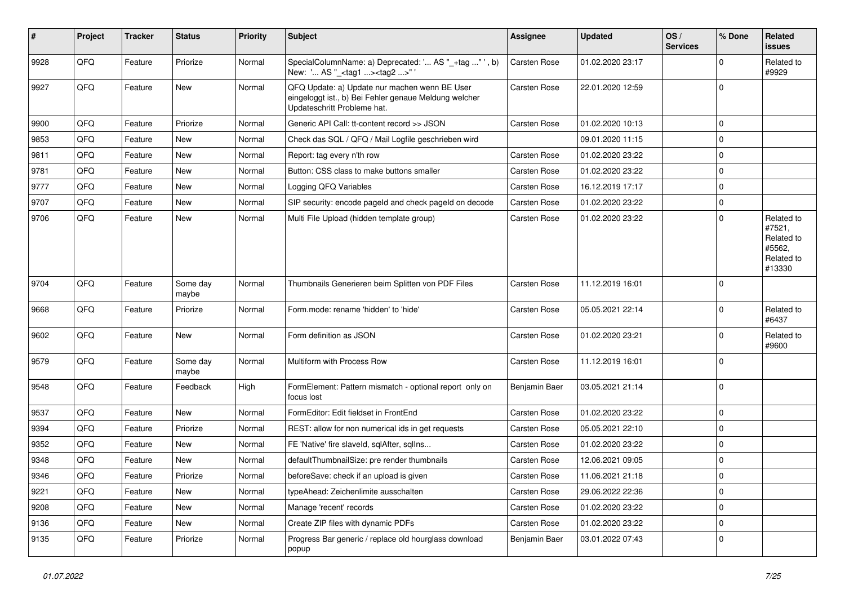| #    | Project | <b>Tracker</b> | <b>Status</b>     | <b>Priority</b> | <b>Subject</b>                                                                                                                        | Assignee      | <b>Updated</b>   | OS/<br><b>Services</b> | % Done      | <b>Related</b><br><b>issues</b>                                      |
|------|---------|----------------|-------------------|-----------------|---------------------------------------------------------------------------------------------------------------------------------------|---------------|------------------|------------------------|-------------|----------------------------------------------------------------------|
| 9928 | QFQ     | Feature        | Priorize          | Normal          | SpecialColumnName: a) Deprecated: ' AS "_+tag " ', b)<br>New: ' AS "_ <tag1><tag2>"'</tag2></tag1>                                    | Carsten Rose  | 01.02.2020 23:17 |                        | $\Omega$    | Related to<br>#9929                                                  |
| 9927 | QFQ     | Feature        | New               | Normal          | QFQ Update: a) Update nur machen wenn BE User<br>eingeloggt ist., b) Bei Fehler genaue Meldung welcher<br>Updateschritt Probleme hat. | Carsten Rose  | 22.01.2020 12:59 |                        | $\mathbf 0$ |                                                                      |
| 9900 | QFQ     | Feature        | Priorize          | Normal          | Generic API Call: tt-content record >> JSON                                                                                           | Carsten Rose  | 01.02.2020 10:13 |                        | $\mathbf 0$ |                                                                      |
| 9853 | QFQ     | Feature        | New               | Normal          | Check das SQL / QFQ / Mail Logfile geschrieben wird                                                                                   |               | 09.01.2020 11:15 |                        | $\mathbf 0$ |                                                                      |
| 9811 | QFQ     | Feature        | New               | Normal          | Report: tag every n'th row                                                                                                            | Carsten Rose  | 01.02.2020 23:22 |                        | $\mathbf 0$ |                                                                      |
| 9781 | QFQ     | Feature        | New               | Normal          | Button: CSS class to make buttons smaller                                                                                             | Carsten Rose  | 01.02.2020 23:22 |                        | $\mathbf 0$ |                                                                      |
| 9777 | QFQ     | Feature        | New               | Normal          | Logging QFQ Variables                                                                                                                 | Carsten Rose  | 16.12.2019 17:17 |                        | $\mathbf 0$ |                                                                      |
| 9707 | QFQ     | Feature        | New               | Normal          | SIP security: encode pageld and check pageld on decode                                                                                | Carsten Rose  | 01.02.2020 23:22 |                        | $\mathbf 0$ |                                                                      |
| 9706 | QFQ     | Feature        | New               | Normal          | Multi File Upload (hidden template group)                                                                                             | Carsten Rose  | 01.02.2020 23:22 |                        | $\Omega$    | Related to<br>#7521,<br>Related to<br>#5562,<br>Related to<br>#13330 |
| 9704 | QFQ     | Feature        | Some day<br>maybe | Normal          | Thumbnails Generieren beim Splitten von PDF Files                                                                                     | Carsten Rose  | 11.12.2019 16:01 |                        | $\mathbf 0$ |                                                                      |
| 9668 | QFQ     | Feature        | Priorize          | Normal          | Form.mode: rename 'hidden' to 'hide'                                                                                                  | Carsten Rose  | 05.05.2021 22:14 |                        | $\mathbf 0$ | Related to<br>#6437                                                  |
| 9602 | QFQ     | Feature        | New               | Normal          | Form definition as JSON                                                                                                               | Carsten Rose  | 01.02.2020 23:21 |                        | $\Omega$    | Related to<br>#9600                                                  |
| 9579 | QFQ     | Feature        | Some day<br>maybe | Normal          | Multiform with Process Row                                                                                                            | Carsten Rose  | 11.12.2019 16:01 |                        | $\mathbf 0$ |                                                                      |
| 9548 | QFQ     | Feature        | Feedback          | High            | FormElement: Pattern mismatch - optional report only on<br>focus lost                                                                 | Benjamin Baer | 03.05.2021 21:14 |                        | $\mathbf 0$ |                                                                      |
| 9537 | QFQ     | Feature        | New               | Normal          | FormEditor: Edit fieldset in FrontEnd                                                                                                 | Carsten Rose  | 01.02.2020 23:22 |                        | $\mathbf 0$ |                                                                      |
| 9394 | QFQ     | Feature        | Priorize          | Normal          | REST: allow for non numerical ids in get requests                                                                                     | Carsten Rose  | 05.05.2021 22:10 |                        | $\mathbf 0$ |                                                                      |
| 9352 | QFQ     | Feature        | New               | Normal          | FE 'Native' fire slaveld, sqlAfter, sqlIns                                                                                            | Carsten Rose  | 01.02.2020 23:22 |                        | $\mathbf 0$ |                                                                      |
| 9348 | QFQ     | Feature        | New               | Normal          | defaultThumbnailSize: pre render thumbnails                                                                                           | Carsten Rose  | 12.06.2021 09:05 |                        | $\mathbf 0$ |                                                                      |
| 9346 | QFQ     | Feature        | Priorize          | Normal          | beforeSave: check if an upload is given                                                                                               | Carsten Rose  | 11.06.2021 21:18 |                        | $\Omega$    |                                                                      |
| 9221 | QFQ     | Feature        | New               | Normal          | typeAhead: Zeichenlimite ausschalten                                                                                                  | Carsten Rose  | 29.06.2022 22:36 |                        | $\mathbf 0$ |                                                                      |
| 9208 | QFQ     | Feature        | New               | Normal          | Manage 'recent' records                                                                                                               | Carsten Rose  | 01.02.2020 23:22 |                        | $\mathbf 0$ |                                                                      |
| 9136 | QFQ     | Feature        | New               | Normal          | Create ZIP files with dynamic PDFs                                                                                                    | Carsten Rose  | 01.02.2020 23:22 |                        | $\mathbf 0$ |                                                                      |
| 9135 | QFQ     | Feature        | Priorize          | Normal          | Progress Bar generic / replace old hourglass download<br>popup                                                                        | Benjamin Baer | 03.01.2022 07:43 |                        | $\mathbf 0$ |                                                                      |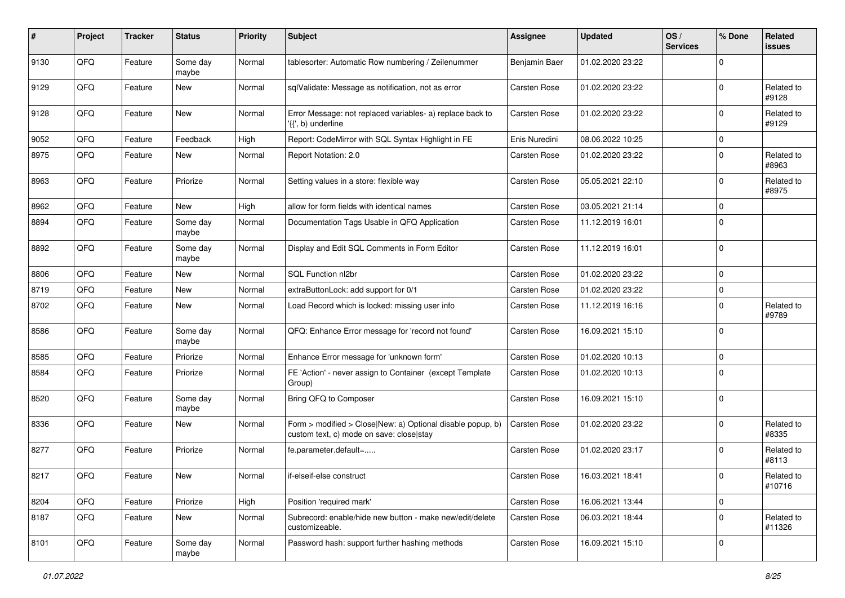| #    | Project | <b>Tracker</b> | <b>Status</b>     | <b>Priority</b> | Subject                                                                                                | <b>Assignee</b>     | <b>Updated</b>   | OS/<br><b>Services</b> | % Done      | Related<br>issues    |
|------|---------|----------------|-------------------|-----------------|--------------------------------------------------------------------------------------------------------|---------------------|------------------|------------------------|-------------|----------------------|
| 9130 | QFQ     | Feature        | Some day<br>maybe | Normal          | tablesorter: Automatic Row numbering / Zeilenummer                                                     | Benjamin Baer       | 01.02.2020 23:22 |                        | $\Omega$    |                      |
| 9129 | QFQ     | Feature        | New               | Normal          | sqlValidate: Message as notification, not as error                                                     | <b>Carsten Rose</b> | 01.02.2020 23:22 |                        | $\Omega$    | Related to<br>#9128  |
| 9128 | QFQ     | Feature        | New               | Normal          | Error Message: not replaced variables- a) replace back to<br>$\langle \{ \}$ , b) underline            | <b>Carsten Rose</b> | 01.02.2020 23:22 |                        | $\Omega$    | Related to<br>#9129  |
| 9052 | QFQ     | Feature        | Feedback          | High            | Report: CodeMirror with SQL Syntax Highlight in FE                                                     | Enis Nuredini       | 08.06.2022 10:25 |                        | 0           |                      |
| 8975 | QFQ     | Feature        | New               | Normal          | Report Notation: 2.0                                                                                   | Carsten Rose        | 01.02.2020 23:22 |                        | $\Omega$    | Related to<br>#8963  |
| 8963 | QFQ     | Feature        | Priorize          | Normal          | Setting values in a store: flexible way                                                                | Carsten Rose        | 05.05.2021 22:10 |                        | $\mathbf 0$ | Related to<br>#8975  |
| 8962 | QFQ     | Feature        | New               | High            | allow for form fields with identical names                                                             | <b>Carsten Rose</b> | 03.05.2021 21:14 |                        | $\Omega$    |                      |
| 8894 | QFQ     | Feature        | Some day<br>maybe | Normal          | Documentation Tags Usable in QFQ Application                                                           | <b>Carsten Rose</b> | 11.12.2019 16:01 |                        | $\Omega$    |                      |
| 8892 | QFQ     | Feature        | Some day<br>maybe | Normal          | Display and Edit SQL Comments in Form Editor                                                           | Carsten Rose        | 11.12.2019 16:01 |                        | $\Omega$    |                      |
| 8806 | QFQ     | Feature        | New               | Normal          | SQL Function nl2br                                                                                     | <b>Carsten Rose</b> | 01.02.2020 23:22 |                        | $\mathbf 0$ |                      |
| 8719 | QFQ     | Feature        | New               | Normal          | extraButtonLock: add support for 0/1                                                                   | <b>Carsten Rose</b> | 01.02.2020 23:22 |                        | 0           |                      |
| 8702 | QFQ     | Feature        | New               | Normal          | Load Record which is locked: missing user info                                                         | Carsten Rose        | 11.12.2019 16:16 |                        | $\Omega$    | Related to<br>#9789  |
| 8586 | QFQ     | Feature        | Some day<br>maybe | Normal          | QFQ: Enhance Error message for 'record not found'                                                      | <b>Carsten Rose</b> | 16.09.2021 15:10 |                        | $\Omega$    |                      |
| 8585 | QFQ     | Feature        | Priorize          | Normal          | Enhance Error message for 'unknown form'                                                               | <b>Carsten Rose</b> | 01.02.2020 10:13 |                        | $\mathbf 0$ |                      |
| 8584 | QFQ     | Feature        | Priorize          | Normal          | FE 'Action' - never assign to Container (except Template<br>Group)                                     | <b>Carsten Rose</b> | 01.02.2020 10:13 |                        | $\Omega$    |                      |
| 8520 | QFQ     | Feature        | Some day<br>maybe | Normal          | Bring QFQ to Composer                                                                                  | Carsten Rose        | 16.09.2021 15:10 |                        | $\mathbf 0$ |                      |
| 8336 | QFQ     | Feature        | New               | Normal          | Form > modified > Close New: a) Optional disable popup, b)<br>custom text, c) mode on save: close stay | <b>Carsten Rose</b> | 01.02.2020 23:22 |                        | $\mathbf 0$ | Related to<br>#8335  |
| 8277 | QFQ     | Feature        | Priorize          | Normal          | fe.parameter.default=                                                                                  | <b>Carsten Rose</b> | 01.02.2020 23:17 |                        | $\Omega$    | Related to<br>#8113  |
| 8217 | QFQ     | Feature        | New               | Normal          | if-elseif-else construct                                                                               | Carsten Rose        | 16.03.2021 18:41 |                        | $\mathbf 0$ | Related to<br>#10716 |
| 8204 | QFQ     | Feature        | Priorize          | High            | Position 'required mark'                                                                               | Carsten Rose        | 16.06.2021 13:44 |                        | $\mathbf 0$ |                      |
| 8187 | QFQ     | Feature        | New               | Normal          | Subrecord: enable/hide new button - make new/edit/delete<br>customizeable.                             | Carsten Rose        | 06.03.2021 18:44 |                        | $\mathbf 0$ | Related to<br>#11326 |
| 8101 | QFG     | Feature        | Some day<br>maybe | Normal          | Password hash: support further hashing methods                                                         | Carsten Rose        | 16.09.2021 15:10 |                        | $\mathbf 0$ |                      |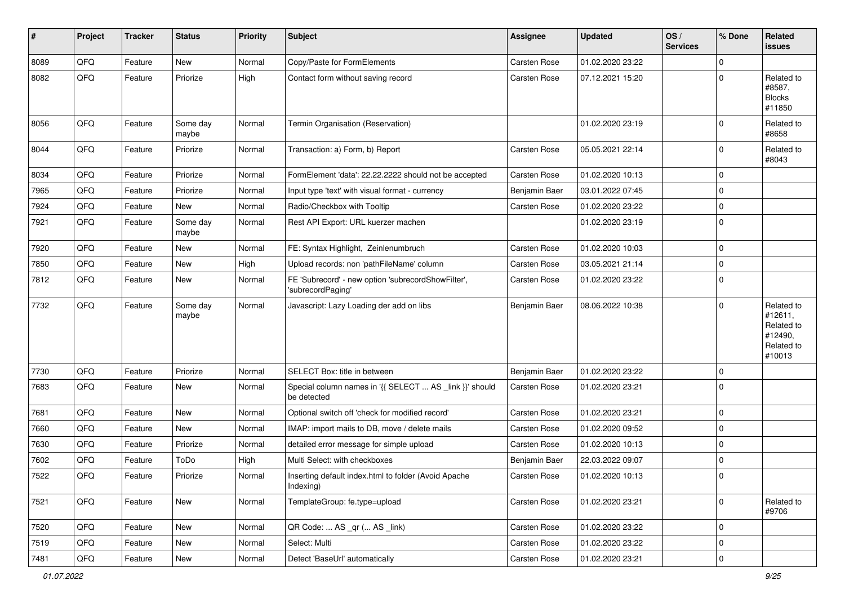| #    | Project | <b>Tracker</b> | <b>Status</b>     | <b>Priority</b> | <b>Subject</b>                                                          | <b>Assignee</b>     | <b>Updated</b>   | OS/<br><b>Services</b> | % Done      | <b>Related</b><br><b>issues</b>                                        |
|------|---------|----------------|-------------------|-----------------|-------------------------------------------------------------------------|---------------------|------------------|------------------------|-------------|------------------------------------------------------------------------|
| 8089 | QFQ     | Feature        | <b>New</b>        | Normal          | Copy/Paste for FormElements                                             | <b>Carsten Rose</b> | 01.02.2020 23:22 |                        | $\mathbf 0$ |                                                                        |
| 8082 | QFQ     | Feature        | Priorize          | High            | Contact form without saving record                                      | Carsten Rose        | 07.12.2021 15:20 |                        | $\mathbf 0$ | Related to<br>#8587,<br><b>Blocks</b><br>#11850                        |
| 8056 | QFQ     | Feature        | Some day<br>maybe | Normal          | Termin Organisation (Reservation)                                       |                     | 01.02.2020 23:19 |                        | $\mathbf 0$ | Related to<br>#8658                                                    |
| 8044 | QFQ     | Feature        | Priorize          | Normal          | Transaction: a) Form, b) Report                                         | Carsten Rose        | 05.05.2021 22:14 |                        | $\mathbf 0$ | Related to<br>#8043                                                    |
| 8034 | QFQ     | Feature        | Priorize          | Normal          | FormElement 'data': 22.22.2222 should not be accepted                   | Carsten Rose        | 01.02.2020 10:13 |                        | $\mathbf 0$ |                                                                        |
| 7965 | QFQ     | Feature        | Priorize          | Normal          | Input type 'text' with visual format - currency                         | Benjamin Baer       | 03.01.2022 07:45 |                        | $\mathbf 0$ |                                                                        |
| 7924 | QFQ     | Feature        | New               | Normal          | Radio/Checkbox with Tooltip                                             | <b>Carsten Rose</b> | 01.02.2020 23:22 |                        | $\mathbf 0$ |                                                                        |
| 7921 | QFQ     | Feature        | Some day<br>maybe | Normal          | Rest API Export: URL kuerzer machen                                     |                     | 01.02.2020 23:19 |                        | $\mathbf 0$ |                                                                        |
| 7920 | QFQ     | Feature        | <b>New</b>        | Normal          | FE: Syntax Highlight, Zeinlenumbruch                                    | <b>Carsten Rose</b> | 01.02.2020 10:03 |                        | $\mathbf 0$ |                                                                        |
| 7850 | QFQ     | Feature        | New               | High            | Upload records: non 'pathFileName' column                               | Carsten Rose        | 03.05.2021 21:14 |                        | $\mathbf 0$ |                                                                        |
| 7812 | QFQ     | Feature        | New               | Normal          | FE 'Subrecord' - new option 'subrecordShowFilter',<br>'subrecordPaging' | Carsten Rose        | 01.02.2020 23:22 |                        | $\mathbf 0$ |                                                                        |
| 7732 | QFQ     | Feature        | Some day<br>maybe | Normal          | Javascript: Lazy Loading der add on libs                                | Benjamin Baer       | 08.06.2022 10:38 |                        | $\mathbf 0$ | Related to<br>#12611,<br>Related to<br>#12490,<br>Related to<br>#10013 |
| 7730 | QFQ     | Feature        | Priorize          | Normal          | SELECT Box: title in between                                            | Benjamin Baer       | 01.02.2020 23:22 |                        | $\mathbf 0$ |                                                                        |
| 7683 | QFQ     | Feature        | <b>New</b>        | Normal          | Special column names in '{{ SELECT  AS _link }}' should<br>be detected  | <b>Carsten Rose</b> | 01.02.2020 23:21 |                        | $\mathbf 0$ |                                                                        |
| 7681 | QFQ     | Feature        | <b>New</b>        | Normal          | Optional switch off 'check for modified record'                         | Carsten Rose        | 01.02.2020 23:21 |                        | $\mathbf 0$ |                                                                        |
| 7660 | QFQ     | Feature        | New               | Normal          | IMAP: import mails to DB, move / delete mails                           | Carsten Rose        | 01.02.2020 09:52 |                        | $\mathbf 0$ |                                                                        |
| 7630 | QFQ     | Feature        | Priorize          | Normal          | detailed error message for simple upload                                | <b>Carsten Rose</b> | 01.02.2020 10:13 |                        | $\mathbf 0$ |                                                                        |
| 7602 | QFQ     | Feature        | ToDo              | High            | Multi Select: with checkboxes                                           | Benjamin Baer       | 22.03.2022 09:07 |                        | $\mathbf 0$ |                                                                        |
| 7522 | QFQ     | Feature        | Priorize          | Normal          | Inserting default index.html to folder (Avoid Apache<br>Indexing)       | Carsten Rose        | 01.02.2020 10:13 |                        | $\Omega$    |                                                                        |
| 7521 | QFQ     | Feature        | New               | Normal          | TemplateGroup: fe.type=upload                                           | Carsten Rose        | 01.02.2020 23:21 |                        | $\mathbf 0$ | Related to<br>#9706                                                    |
| 7520 | QFQ     | Feature        | New               | Normal          | QR Code:  AS _qr ( AS _link)                                            | Carsten Rose        | 01.02.2020 23:22 |                        | $\mathbf 0$ |                                                                        |
| 7519 | QFQ     | Feature        | New               | Normal          | Select: Multi                                                           | Carsten Rose        | 01.02.2020 23:22 |                        | $\mathsf 0$ |                                                                        |
| 7481 | QFQ     | Feature        | New               | Normal          | Detect 'BaseUrl' automatically                                          | Carsten Rose        | 01.02.2020 23:21 |                        | $\mathsf 0$ |                                                                        |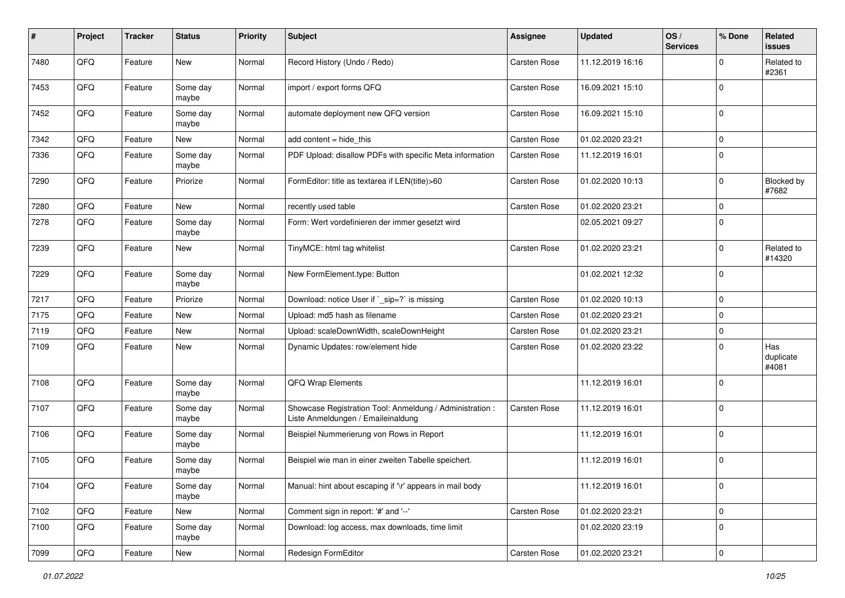| #    | Project | <b>Tracker</b> | <b>Status</b>     | <b>Priority</b> | <b>Subject</b>                                                                                 | <b>Assignee</b>     | <b>Updated</b>   | OS/<br><b>Services</b> | % Done      | <b>Related</b><br><b>issues</b> |
|------|---------|----------------|-------------------|-----------------|------------------------------------------------------------------------------------------------|---------------------|------------------|------------------------|-------------|---------------------------------|
| 7480 | QFQ     | Feature        | <b>New</b>        | Normal          | Record History (Undo / Redo)                                                                   | Carsten Rose        | 11.12.2019 16:16 |                        | $\mathbf 0$ | Related to<br>#2361             |
| 7453 | QFQ     | Feature        | Some day<br>maybe | Normal          | import / export forms QFQ                                                                      | <b>Carsten Rose</b> | 16.09.2021 15:10 |                        | $\mathbf 0$ |                                 |
| 7452 | QFQ     | Feature        | Some day<br>maybe | Normal          | automate deployment new QFQ version                                                            | Carsten Rose        | 16.09.2021 15:10 |                        | $\mathbf 0$ |                                 |
| 7342 | QFQ     | Feature        | <b>New</b>        | Normal          | add content $=$ hide this                                                                      | Carsten Rose        | 01.02.2020 23:21 |                        | $\mathbf 0$ |                                 |
| 7336 | QFQ     | Feature        | Some day<br>maybe | Normal          | PDF Upload: disallow PDFs with specific Meta information                                       | Carsten Rose        | 11.12.2019 16:01 |                        | $\mathbf 0$ |                                 |
| 7290 | QFQ     | Feature        | Priorize          | Normal          | FormEditor: title as textarea if LEN(title)>60                                                 | Carsten Rose        | 01.02.2020 10:13 |                        | $\mathbf 0$ | Blocked by<br>#7682             |
| 7280 | QFQ     | Feature        | <b>New</b>        | Normal          | recently used table                                                                            | Carsten Rose        | 01.02.2020 23:21 |                        | $\mathbf 0$ |                                 |
| 7278 | QFQ     | Feature        | Some day<br>maybe | Normal          | Form: Wert vordefinieren der immer gesetzt wird                                                |                     | 02.05.2021 09:27 |                        | $\mathbf 0$ |                                 |
| 7239 | QFQ     | Feature        | <b>New</b>        | Normal          | TinyMCE: html tag whitelist                                                                    | <b>Carsten Rose</b> | 01.02.2020 23:21 |                        | $\mathbf 0$ | Related to<br>#14320            |
| 7229 | QFQ     | Feature        | Some day<br>maybe | Normal          | New FormElement.type: Button                                                                   |                     | 01.02.2021 12:32 |                        | $\mathbf 0$ |                                 |
| 7217 | QFQ     | Feature        | Priorize          | Normal          | Download: notice User if `_sip=?` is missing                                                   | <b>Carsten Rose</b> | 01.02.2020 10:13 |                        | $\mathbf 0$ |                                 |
| 7175 | QFQ     | Feature        | New               | Normal          | Upload: md5 hash as filename                                                                   | <b>Carsten Rose</b> | 01.02.2020 23:21 |                        | $\mathbf 0$ |                                 |
| 7119 | QFQ     | Feature        | <b>New</b>        | Normal          | Upload: scaleDownWidth, scaleDownHeight                                                        | Carsten Rose        | 01.02.2020 23:21 |                        | $\mathbf 0$ |                                 |
| 7109 | QFQ     | Feature        | New               | Normal          | Dynamic Updates: row/element hide                                                              | Carsten Rose        | 01.02.2020 23:22 |                        | $\mathbf 0$ | Has<br>duplicate<br>#4081       |
| 7108 | QFQ     | Feature        | Some day<br>maybe | Normal          | QFQ Wrap Elements                                                                              |                     | 11.12.2019 16:01 |                        | $\mathbf 0$ |                                 |
| 7107 | QFQ     | Feature        | Some day<br>maybe | Normal          | Showcase Registration Tool: Anmeldung / Administration :<br>Liste Anmeldungen / Emaileinaldung | <b>Carsten Rose</b> | 11.12.2019 16:01 |                        | $\mathbf 0$ |                                 |
| 7106 | QFQ     | Feature        | Some day<br>maybe | Normal          | Beispiel Nummerierung von Rows in Report                                                       |                     | 11.12.2019 16:01 |                        | $\mathbf 0$ |                                 |
| 7105 | QFQ     | Feature        | Some day<br>maybe | Normal          | Beispiel wie man in einer zweiten Tabelle speichert.                                           |                     | 11.12.2019 16:01 |                        | $\mathbf 0$ |                                 |
| 7104 | QFG     | Feature        | Some day<br>maybe | Normal          | Manual: hint about escaping if '\r' appears in mail body                                       |                     | 11.12.2019 16:01 |                        | $\mathbf 0$ |                                 |
| 7102 | QFQ     | Feature        | New               | Normal          | Comment sign in report: '#' and '--'                                                           | Carsten Rose        | 01.02.2020 23:21 |                        | $\mathbf 0$ |                                 |
| 7100 | QFQ     | Feature        | Some day<br>maybe | Normal          | Download: log access, max downloads, time limit                                                |                     | 01.02.2020 23:19 |                        | $\mathsf 0$ |                                 |
| 7099 | QFO     | Feature        | New               | Normal          | Redesign FormEditor                                                                            | Carsten Rose        | 01.02.2020 23:21 |                        | $\mathbf 0$ |                                 |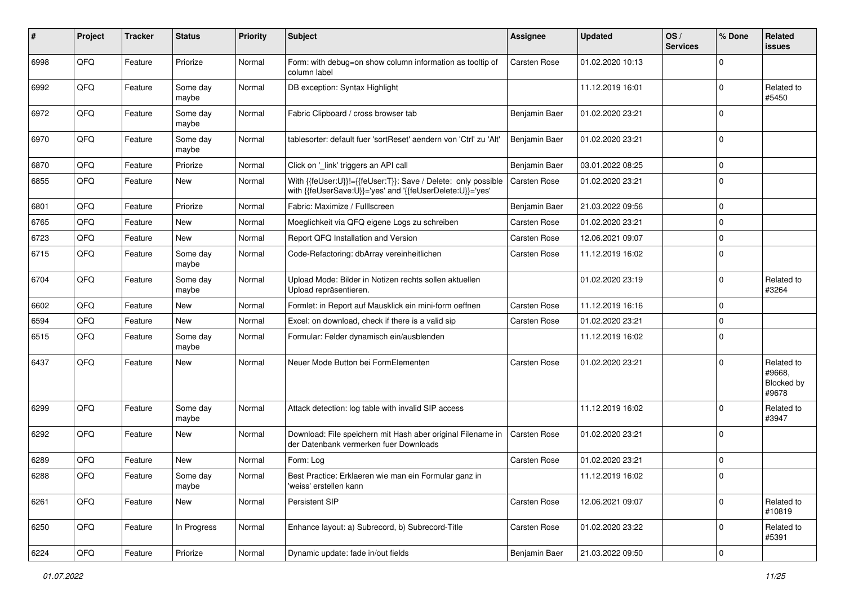| #    | Project | <b>Tracker</b> | <b>Status</b>     | <b>Priority</b> | <b>Subject</b>                                                                                                             | <b>Assignee</b>     | <b>Updated</b>   | OS/<br><b>Services</b> | % Done      | <b>Related</b><br><b>issues</b>             |
|------|---------|----------------|-------------------|-----------------|----------------------------------------------------------------------------------------------------------------------------|---------------------|------------------|------------------------|-------------|---------------------------------------------|
| 6998 | QFQ     | Feature        | Priorize          | Normal          | Form: with debug=on show column information as tooltip of<br>column label                                                  | Carsten Rose        | 01.02.2020 10:13 |                        | $\Omega$    |                                             |
| 6992 | QFQ     | Feature        | Some day<br>maybe | Normal          | DB exception: Syntax Highlight                                                                                             |                     | 11.12.2019 16:01 |                        | $\mathbf 0$ | Related to<br>#5450                         |
| 6972 | QFQ     | Feature        | Some day<br>maybe | Normal          | Fabric Clipboard / cross browser tab                                                                                       | Benjamin Baer       | 01.02.2020 23:21 |                        | $\mathbf 0$ |                                             |
| 6970 | QFQ     | Feature        | Some day<br>maybe | Normal          | tablesorter: default fuer 'sortReset' aendern von 'Ctrl' zu 'Alt'                                                          | Benjamin Baer       | 01.02.2020 23:21 |                        | $\mathbf 0$ |                                             |
| 6870 | QFQ     | Feature        | Priorize          | Normal          | Click on '_link' triggers an API call                                                                                      | Benjamin Baer       | 03.01.2022 08:25 |                        | $\mathbf 0$ |                                             |
| 6855 | QFQ     | Feature        | New               | Normal          | With {{feUser:U}}!={{feUser:T}}: Save / Delete: only possible<br>with {{feUserSave:U}}='yes' and '{{feUserDelete:U}}='yes' | Carsten Rose        | 01.02.2020 23:21 |                        | $\mathbf 0$ |                                             |
| 6801 | QFQ     | Feature        | Priorize          | Normal          | Fabric: Maximize / FullIscreen                                                                                             | Benjamin Baer       | 21.03.2022 09:56 |                        | $\mathbf 0$ |                                             |
| 6765 | QFQ     | Feature        | New               | Normal          | Moeglichkeit via QFQ eigene Logs zu schreiben                                                                              | <b>Carsten Rose</b> | 01.02.2020 23:21 |                        | $\mathbf 0$ |                                             |
| 6723 | QFQ     | Feature        | New               | Normal          | Report QFQ Installation and Version                                                                                        | Carsten Rose        | 12.06.2021 09:07 |                        | $\mathbf 0$ |                                             |
| 6715 | QFQ     | Feature        | Some day<br>maybe | Normal          | Code-Refactoring: dbArray vereinheitlichen                                                                                 | Carsten Rose        | 11.12.2019 16:02 |                        | $\mathbf 0$ |                                             |
| 6704 | QFQ     | Feature        | Some day<br>maybe | Normal          | Upload Mode: Bilder in Notizen rechts sollen aktuellen<br>Upload repräsentieren.                                           |                     | 01.02.2020 23:19 |                        | $\mathbf 0$ | Related to<br>#3264                         |
| 6602 | QFQ     | Feature        | New               | Normal          | Formlet: in Report auf Mausklick ein mini-form oeffnen                                                                     | Carsten Rose        | 11.12.2019 16:16 |                        | $\mathbf 0$ |                                             |
| 6594 | QFQ     | Feature        | New               | Normal          | Excel: on download, check if there is a valid sip                                                                          | Carsten Rose        | 01.02.2020 23:21 |                        | $\mathbf 0$ |                                             |
| 6515 | QFQ     | Feature        | Some day<br>maybe | Normal          | Formular: Felder dynamisch ein/ausblenden                                                                                  |                     | 11.12.2019 16:02 |                        | $\mathbf 0$ |                                             |
| 6437 | QFQ     | Feature        | <b>New</b>        | Normal          | Neuer Mode Button bei FormElementen                                                                                        | Carsten Rose        | 01.02.2020 23:21 |                        | $\mathbf 0$ | Related to<br>#9668.<br>Blocked by<br>#9678 |
| 6299 | QFQ     | Feature        | Some day<br>maybe | Normal          | Attack detection: log table with invalid SIP access                                                                        |                     | 11.12.2019 16:02 |                        | $\mathbf 0$ | Related to<br>#3947                         |
| 6292 | QFQ     | Feature        | New               | Normal          | Download: File speichern mit Hash aber original Filename in<br>der Datenbank vermerken fuer Downloads                      | Carsten Rose        | 01.02.2020 23:21 |                        | $\mathbf 0$ |                                             |
| 6289 | QFQ     | Feature        | New               | Normal          | Form: Log                                                                                                                  | <b>Carsten Rose</b> | 01.02.2020 23:21 |                        | $\mathbf 0$ |                                             |
| 6288 | QFQ     | Feature        | Some day<br>maybe | Normal          | Best Practice: Erklaeren wie man ein Formular ganz in<br>'weiss' erstellen kann                                            |                     | 11.12.2019 16:02 |                        | $\Omega$    |                                             |
| 6261 | QFQ     | Feature        | New               | Normal          | Persistent SIP                                                                                                             | Carsten Rose        | 12.06.2021 09:07 |                        | $\mathbf 0$ | Related to<br>#10819                        |
| 6250 | QFQ     | Feature        | In Progress       | Normal          | Enhance layout: a) Subrecord, b) Subrecord-Title                                                                           | Carsten Rose        | 01.02.2020 23:22 |                        | $\mathbf 0$ | Related to<br>#5391                         |
| 6224 | QFG     | Feature        | Priorize          | Normal          | Dynamic update: fade in/out fields                                                                                         | Benjamin Baer       | 21.03.2022 09:50 |                        | $\pmb{0}$   |                                             |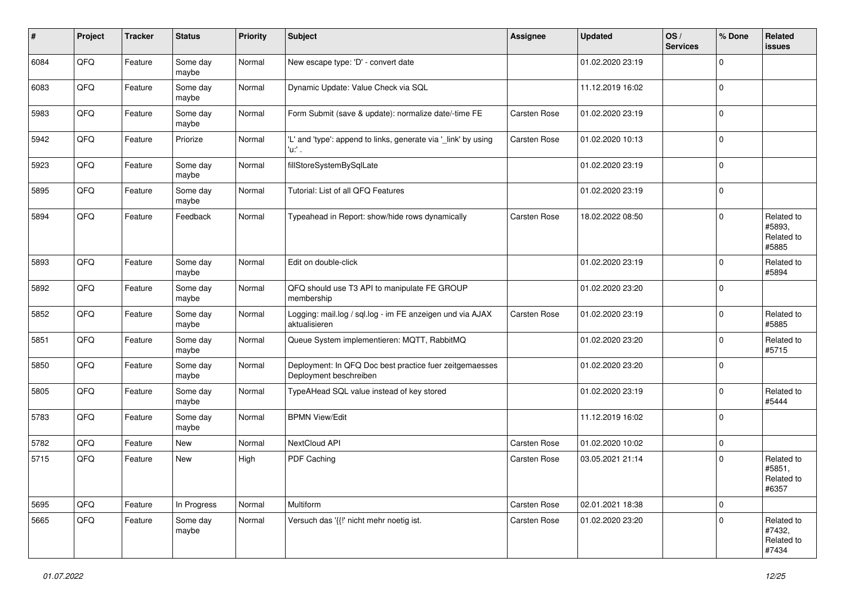| #    | Project | <b>Tracker</b> | <b>Status</b>     | <b>Priority</b> | <b>Subject</b>                                                                    | <b>Assignee</b>     | Updated          | OS/<br><b>Services</b> | % Done      | <b>Related</b><br><b>issues</b>             |
|------|---------|----------------|-------------------|-----------------|-----------------------------------------------------------------------------------|---------------------|------------------|------------------------|-------------|---------------------------------------------|
| 6084 | QFQ     | Feature        | Some day<br>maybe | Normal          | New escape type: 'D' - convert date                                               |                     | 01.02.2020 23:19 |                        | $\mathbf 0$ |                                             |
| 6083 | QFQ     | Feature        | Some day<br>maybe | Normal          | Dynamic Update: Value Check via SQL                                               |                     | 11.12.2019 16:02 |                        | $\mathbf 0$ |                                             |
| 5983 | QFQ     | Feature        | Some day<br>maybe | Normal          | Form Submit (save & update): normalize date/-time FE                              | Carsten Rose        | 01.02.2020 23:19 |                        | $\mathbf 0$ |                                             |
| 5942 | QFQ     | Feature        | Priorize          | Normal          | 'L' and 'type': append to links, generate via '_link' by using<br>'u:' .          | Carsten Rose        | 01.02.2020 10:13 |                        | $\mathbf 0$ |                                             |
| 5923 | QFQ     | Feature        | Some day<br>maybe | Normal          | fillStoreSystemBySqlLate                                                          |                     | 01.02.2020 23:19 |                        | $\mathbf 0$ |                                             |
| 5895 | QFQ     | Feature        | Some day<br>maybe | Normal          | Tutorial: List of all QFQ Features                                                |                     | 01.02.2020 23:19 |                        | $\mathbf 0$ |                                             |
| 5894 | QFQ     | Feature        | Feedback          | Normal          | Typeahead in Report: show/hide rows dynamically                                   | <b>Carsten Rose</b> | 18.02.2022 08:50 |                        | $\mathbf 0$ | Related to<br>#5893,<br>Related to<br>#5885 |
| 5893 | QFQ     | Feature        | Some day<br>maybe | Normal          | Edit on double-click                                                              |                     | 01.02.2020 23:19 |                        | $\mathbf 0$ | Related to<br>#5894                         |
| 5892 | QFQ     | Feature        | Some day<br>maybe | Normal          | QFQ should use T3 API to manipulate FE GROUP<br>membership                        |                     | 01.02.2020 23:20 |                        | $\mathbf 0$ |                                             |
| 5852 | QFQ     | Feature        | Some day<br>maybe | Normal          | Logging: mail.log / sql.log - im FE anzeigen und via AJAX<br>aktualisieren        | Carsten Rose        | 01.02.2020 23:19 |                        | $\mathbf 0$ | Related to<br>#5885                         |
| 5851 | QFQ     | Feature        | Some day<br>maybe | Normal          | Queue System implementieren: MQTT, RabbitMQ                                       |                     | 01.02.2020 23:20 |                        | $\mathbf 0$ | Related to<br>#5715                         |
| 5850 | QFQ     | Feature        | Some day<br>maybe | Normal          | Deployment: In QFQ Doc best practice fuer zeitgemaesses<br>Deployment beschreiben |                     | 01.02.2020 23:20 |                        | $\mathbf 0$ |                                             |
| 5805 | QFQ     | Feature        | Some day<br>maybe | Normal          | TypeAHead SQL value instead of key stored                                         |                     | 01.02.2020 23:19 |                        | $\mathbf 0$ | Related to<br>#5444                         |
| 5783 | QFQ     | Feature        | Some day<br>maybe | Normal          | <b>BPMN View/Edit</b>                                                             |                     | 11.12.2019 16:02 |                        | $\mathbf 0$ |                                             |
| 5782 | QFQ     | Feature        | New               | Normal          | NextCloud API                                                                     | Carsten Rose        | 01.02.2020 10:02 |                        | $\mathbf 0$ |                                             |
| 5715 | QFQ     | Feature        | New               | High            | PDF Caching                                                                       | Carsten Rose        | 03.05.2021 21:14 |                        | $\mathbf 0$ | Related to<br>#5851,<br>Related to<br>#6357 |
| 5695 | QFQ     | Feature        | In Progress       | Normal          | Multiform                                                                         | Carsten Rose        | 02.01.2021 18:38 |                        | $\mathbf 0$ |                                             |
| 5665 | QFQ     | Feature        | Some day<br>maybe | Normal          | Versuch das '{{!' nicht mehr noetig ist.                                          | Carsten Rose        | 01.02.2020 23:20 |                        | $\mathbf 0$ | Related to<br>#7432,<br>Related to<br>#7434 |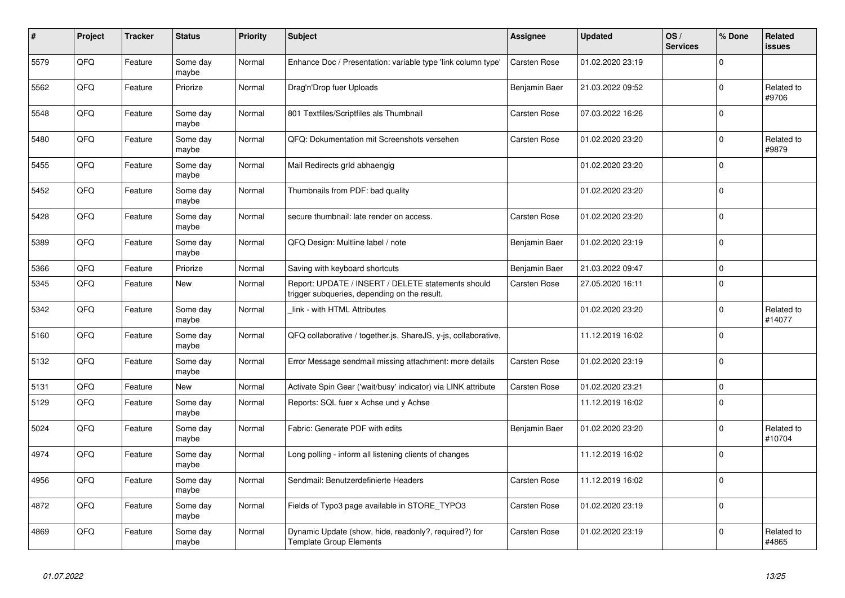| #    | Project    | <b>Tracker</b> | <b>Status</b>     | <b>Priority</b> | <b>Subject</b>                                                                                     | <b>Assignee</b>     | <b>Updated</b>   | OS/<br><b>Services</b> | % Done      | <b>Related</b><br>issues |
|------|------------|----------------|-------------------|-----------------|----------------------------------------------------------------------------------------------------|---------------------|------------------|------------------------|-------------|--------------------------|
| 5579 | QFQ        | Feature        | Some day<br>maybe | Normal          | Enhance Doc / Presentation: variable type 'link column type'                                       | <b>Carsten Rose</b> | 01.02.2020 23:19 |                        | $\Omega$    |                          |
| 5562 | QFQ        | Feature        | Priorize          | Normal          | Drag'n'Drop fuer Uploads                                                                           | Benjamin Baer       | 21.03.2022 09:52 |                        | $\mathbf 0$ | Related to<br>#9706      |
| 5548 | QFQ        | Feature        | Some day<br>maybe | Normal          | 801 Textfiles/Scriptfiles als Thumbnail                                                            | Carsten Rose        | 07.03.2022 16:26 |                        | $\mathbf 0$ |                          |
| 5480 | QFQ        | Feature        | Some day<br>maybe | Normal          | QFQ: Dokumentation mit Screenshots versehen                                                        | <b>Carsten Rose</b> | 01.02.2020 23:20 |                        | $\Omega$    | Related to<br>#9879      |
| 5455 | <b>OFO</b> | Feature        | Some day<br>maybe | Normal          | Mail Redirects grld abhaengig                                                                      |                     | 01.02.2020 23:20 |                        | $\Omega$    |                          |
| 5452 | QFQ        | Feature        | Some day<br>maybe | Normal          | Thumbnails from PDF: bad quality                                                                   |                     | 01.02.2020 23:20 |                        | $\mathbf 0$ |                          |
| 5428 | QFQ        | Feature        | Some day<br>maybe | Normal          | secure thumbnail: late render on access.                                                           | Carsten Rose        | 01.02.2020 23:20 |                        | $\mathbf 0$ |                          |
| 5389 | QFQ        | Feature        | Some day<br>maybe | Normal          | QFQ Design: Multline label / note                                                                  | Benjamin Baer       | 01.02.2020 23:19 |                        | $\mathbf 0$ |                          |
| 5366 | QFQ        | Feature        | Priorize          | Normal          | Saving with keyboard shortcuts                                                                     | Benjamin Baer       | 21.03.2022 09:47 |                        | $\mathbf 0$ |                          |
| 5345 | QFQ        | Feature        | New               | Normal          | Report: UPDATE / INSERT / DELETE statements should<br>trigger subqueries, depending on the result. | <b>Carsten Rose</b> | 27.05.2020 16:11 |                        | $\mathbf 0$ |                          |
| 5342 | QFQ        | Feature        | Some day<br>maybe | Normal          | link - with HTML Attributes                                                                        |                     | 01.02.2020 23:20 |                        | $\mathbf 0$ | Related to<br>#14077     |
| 5160 | QFQ        | Feature        | Some day<br>maybe | Normal          | QFQ collaborative / together.js, ShareJS, y-js, collaborative,                                     |                     | 11.12.2019 16:02 |                        | $\Omega$    |                          |
| 5132 | QFQ        | Feature        | Some day<br>maybe | Normal          | Error Message sendmail missing attachment: more details                                            | <b>Carsten Rose</b> | 01.02.2020 23:19 |                        | $\pmb{0}$   |                          |
| 5131 | QFQ        | Feature        | <b>New</b>        | Normal          | Activate Spin Gear ('wait/busy' indicator) via LINK attribute                                      | Carsten Rose        | 01.02.2020 23:21 |                        | $\mathbf 0$ |                          |
| 5129 | QFQ        | Feature        | Some day<br>maybe | Normal          | Reports: SQL fuer x Achse und y Achse                                                              |                     | 11.12.2019 16:02 |                        | $\mathbf 0$ |                          |
| 5024 | QFQ        | Feature        | Some day<br>maybe | Normal          | Fabric: Generate PDF with edits                                                                    | Benjamin Baer       | 01.02.2020 23:20 |                        | $\mathbf 0$ | Related to<br>#10704     |
| 4974 | QFQ        | Feature        | Some day<br>maybe | Normal          | Long polling - inform all listening clients of changes                                             |                     | 11.12.2019 16:02 |                        | $\mathbf 0$ |                          |
| 4956 | QFQ        | Feature        | Some day<br>maybe | Normal          | Sendmail: Benutzerdefinierte Headers                                                               | <b>Carsten Rose</b> | 11.12.2019 16:02 |                        | $\mathbf 0$ |                          |
| 4872 | QFQ        | Feature        | Some day<br>maybe | Normal          | Fields of Typo3 page available in STORE_TYPO3                                                      | Carsten Rose        | 01.02.2020 23:19 |                        | $\mathbf 0$ |                          |
| 4869 | QFQ        | Feature        | Some day<br>maybe | Normal          | Dynamic Update (show, hide, readonly?, required?) for<br><b>Template Group Elements</b>            | <b>Carsten Rose</b> | 01.02.2020 23:19 |                        | $\mathbf 0$ | Related to<br>#4865      |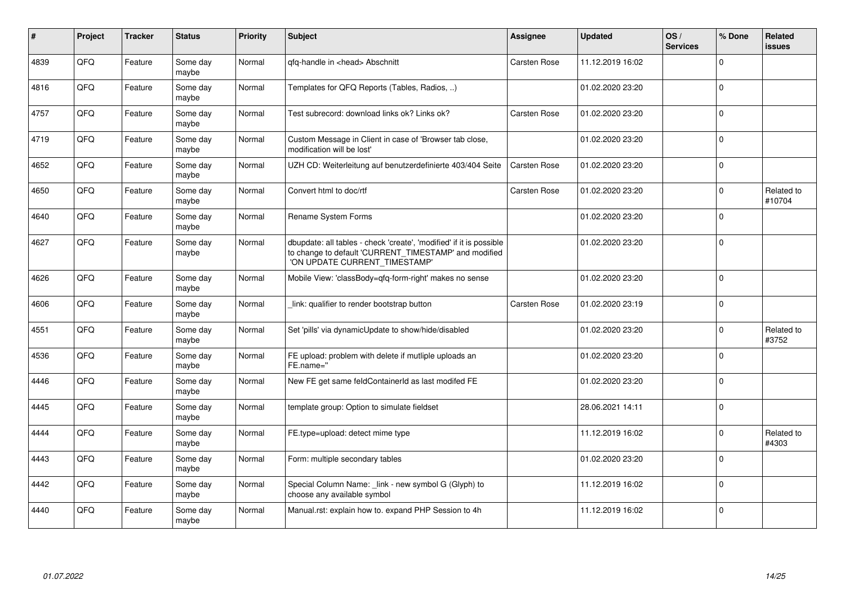| #    | Project    | <b>Tracker</b> | <b>Status</b>     | <b>Priority</b> | <b>Subject</b>                                                                                                                                                | <b>Assignee</b> | <b>Updated</b>   | OS/<br><b>Services</b> | % Done      | <b>Related</b><br><b>issues</b> |
|------|------------|----------------|-------------------|-----------------|---------------------------------------------------------------------------------------------------------------------------------------------------------------|-----------------|------------------|------------------------|-------------|---------------------------------|
| 4839 | QFQ        | Feature        | Some day<br>maybe | Normal          | qfq-handle in <head> Abschnitt</head>                                                                                                                         | Carsten Rose    | 11.12.2019 16:02 |                        | $\Omega$    |                                 |
| 4816 | QFQ        | Feature        | Some day<br>maybe | Normal          | Templates for QFQ Reports (Tables, Radios, )                                                                                                                  |                 | 01.02.2020 23:20 |                        | $\Omega$    |                                 |
| 4757 | QFQ        | Feature        | Some day<br>maybe | Normal          | Test subrecord: download links ok? Links ok?                                                                                                                  | Carsten Rose    | 01.02.2020 23:20 |                        | $\mathbf 0$ |                                 |
| 4719 | QFQ        | Feature        | Some day<br>maybe | Normal          | Custom Message in Client in case of 'Browser tab close,<br>modification will be lost'                                                                         |                 | 01.02.2020 23:20 |                        | $\mathbf 0$ |                                 |
| 4652 | QFQ        | Feature        | Some day<br>maybe | Normal          | UZH CD: Weiterleitung auf benutzerdefinierte 403/404 Seite                                                                                                    | Carsten Rose    | 01.02.2020 23:20 |                        | $\mathbf 0$ |                                 |
| 4650 | QFQ        | Feature        | Some day<br>maybe | Normal          | Convert html to doc/rtf                                                                                                                                       | Carsten Rose    | 01.02.2020 23:20 |                        | $\mathbf 0$ | Related to<br>#10704            |
| 4640 | QFQ        | Feature        | Some day<br>maybe | Normal          | Rename System Forms                                                                                                                                           |                 | 01.02.2020 23:20 |                        | $\Omega$    |                                 |
| 4627 | <b>OFO</b> | Feature        | Some day<br>maybe | Normal          | dbupdate: all tables - check 'create', 'modified' if it is possible<br>to change to default 'CURRENT_TIMESTAMP' and modified<br>'ON UPDATE CURRENT_TIMESTAMP' |                 | 01.02.2020 23:20 |                        | $\Omega$    |                                 |
| 4626 | QFQ        | Feature        | Some day<br>maybe | Normal          | Mobile View: 'classBody=qfq-form-right' makes no sense                                                                                                        |                 | 01.02.2020 23:20 |                        | $\mathbf 0$ |                                 |
| 4606 | QFQ        | Feature        | Some day<br>maybe | Normal          | link: qualifier to render bootstrap button                                                                                                                    | Carsten Rose    | 01.02.2020 23:19 |                        | $\mathbf 0$ |                                 |
| 4551 | QFQ        | Feature        | Some day<br>maybe | Normal          | Set 'pills' via dynamicUpdate to show/hide/disabled                                                                                                           |                 | 01.02.2020 23:20 |                        | $\mathbf 0$ | Related to<br>#3752             |
| 4536 | QFQ        | Feature        | Some day<br>maybe | Normal          | FE upload: problem with delete if mutliple uploads an<br>FE.name="                                                                                            |                 | 01.02.2020 23:20 |                        | $\Omega$    |                                 |
| 4446 | QFQ        | Feature        | Some day<br>maybe | Normal          | New FE get same feldContainerId as last modifed FE                                                                                                            |                 | 01.02.2020 23:20 |                        | $\Omega$    |                                 |
| 4445 | QFQ        | Feature        | Some day<br>maybe | Normal          | template group: Option to simulate fieldset                                                                                                                   |                 | 28.06.2021 14:11 |                        | $\Omega$    |                                 |
| 4444 | QFQ        | Feature        | Some day<br>maybe | Normal          | FE.type=upload: detect mime type                                                                                                                              |                 | 11.12.2019 16:02 |                        | $\mathbf 0$ | Related to<br>#4303             |
| 4443 | QFQ        | Feature        | Some day<br>maybe | Normal          | Form: multiple secondary tables                                                                                                                               |                 | 01.02.2020 23:20 |                        | $\mathbf 0$ |                                 |
| 4442 | QFQ        | Feature        | Some day<br>maybe | Normal          | Special Column Name: _link - new symbol G (Glyph) to<br>choose any available symbol                                                                           |                 | 11.12.2019 16:02 |                        | $\mathbf 0$ |                                 |
| 4440 | QFQ        | Feature        | Some day<br>maybe | Normal          | Manual.rst: explain how to. expand PHP Session to 4h                                                                                                          |                 | 11.12.2019 16:02 |                        | $\Omega$    |                                 |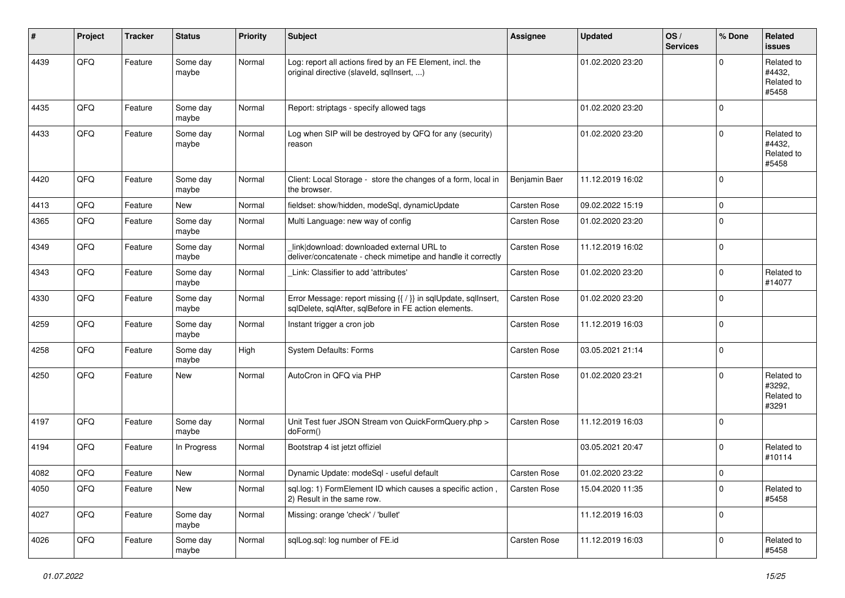| ∦    | Project | <b>Tracker</b> | <b>Status</b>     | <b>Priority</b> | <b>Subject</b>                                                                                                          | <b>Assignee</b>     | <b>Updated</b>   | OS/<br><b>Services</b> | % Done    | <b>Related</b><br><b>issues</b>             |
|------|---------|----------------|-------------------|-----------------|-------------------------------------------------------------------------------------------------------------------------|---------------------|------------------|------------------------|-----------|---------------------------------------------|
| 4439 | QFQ     | Feature        | Some day<br>maybe | Normal          | Log: report all actions fired by an FE Element, incl. the<br>original directive (slaveld, sqllnsert, )                  |                     | 01.02.2020 23:20 |                        | $\Omega$  | Related to<br>#4432.<br>Related to<br>#5458 |
| 4435 | QFQ     | Feature        | Some day<br>maybe | Normal          | Report: striptags - specify allowed tags                                                                                |                     | 01.02.2020 23:20 |                        | $\Omega$  |                                             |
| 4433 | QFQ     | Feature        | Some day<br>maybe | Normal          | Log when SIP will be destroyed by QFQ for any (security)<br>reason                                                      |                     | 01.02.2020 23:20 |                        | $\Omega$  | Related to<br>#4432,<br>Related to<br>#5458 |
| 4420 | QFQ     | Feature        | Some day<br>maybe | Normal          | Client: Local Storage - store the changes of a form, local in<br>the browser.                                           | Benjamin Baer       | 11.12.2019 16:02 |                        | $\Omega$  |                                             |
| 4413 | QFQ     | Feature        | <b>New</b>        | Normal          | fieldset: show/hidden, modeSql, dynamicUpdate                                                                           | Carsten Rose        | 09.02.2022 15:19 |                        | $\Omega$  |                                             |
| 4365 | QFQ     | Feature        | Some day<br>maybe | Normal          | Multi Language: new way of config                                                                                       | <b>Carsten Rose</b> | 01.02.2020 23:20 |                        | $\Omega$  |                                             |
| 4349 | QFQ     | Feature        | Some day<br>maybe | Normal          | link download: downloaded external URL to<br>deliver/concatenate - check mimetipe and handle it correctly               | <b>Carsten Rose</b> | 11.12.2019 16:02 |                        | $\Omega$  |                                             |
| 4343 | QFQ     | Feature        | Some day<br>maybe | Normal          | Link: Classifier to add 'attributes'                                                                                    | <b>Carsten Rose</b> | 01.02.2020 23:20 |                        | $\Omega$  | Related to<br>#14077                        |
| 4330 | QFQ     | Feature        | Some day<br>maybe | Normal          | Error Message: report missing {{ / }} in sqlUpdate, sqlInsert,<br>sqlDelete, sqlAfter, sqlBefore in FE action elements. | Carsten Rose        | 01.02.2020 23:20 |                        | $\Omega$  |                                             |
| 4259 | QFQ     | Feature        | Some day<br>maybe | Normal          | Instant trigger a cron job                                                                                              | Carsten Rose        | 11.12.2019 16:03 |                        | $\Omega$  |                                             |
| 4258 | QFQ     | Feature        | Some day<br>maybe | High            | System Defaults: Forms                                                                                                  | Carsten Rose        | 03.05.2021 21:14 |                        | $\Omega$  |                                             |
| 4250 | QFQ     | Feature        | New               | Normal          | AutoCron in QFQ via PHP                                                                                                 | <b>Carsten Rose</b> | 01.02.2020 23:21 |                        | $\Omega$  | Related to<br>#3292.<br>Related to<br>#3291 |
| 4197 | QFQ     | Feature        | Some day<br>maybe | Normal          | Unit Test fuer JSON Stream von QuickFormQuery.php ><br>doForm()                                                         | Carsten Rose        | 11.12.2019 16:03 |                        | $\Omega$  |                                             |
| 4194 | QFQ     | Feature        | In Progress       | Normal          | Bootstrap 4 ist jetzt offiziel                                                                                          |                     | 03.05.2021 20:47 |                        | $\Omega$  | Related to<br>#10114                        |
| 4082 | QFQ     | Feature        | New               | Normal          | Dynamic Update: modeSql - useful default                                                                                | Carsten Rose        | 01.02.2020 23:22 |                        | $\Omega$  |                                             |
| 4050 | QFG     | Feature        | New               | Normal          | sql.log: 1) FormElement ID which causes a specific action,<br>2) Result in the same row.                                | Carsten Rose        | 15.04.2020 11:35 |                        | $\pmb{0}$ | Related to<br>#5458                         |
| 4027 | QFQ     | Feature        | Some day<br>maybe | Normal          | Missing: orange 'check' / 'bullet'                                                                                      |                     | 11.12.2019 16:03 |                        | 0         |                                             |
| 4026 | QFG     | Feature        | Some day<br>maybe | Normal          | sqlLog.sql: log number of FE.id                                                                                         | Carsten Rose        | 11.12.2019 16:03 |                        | 0         | Related to<br>#5458                         |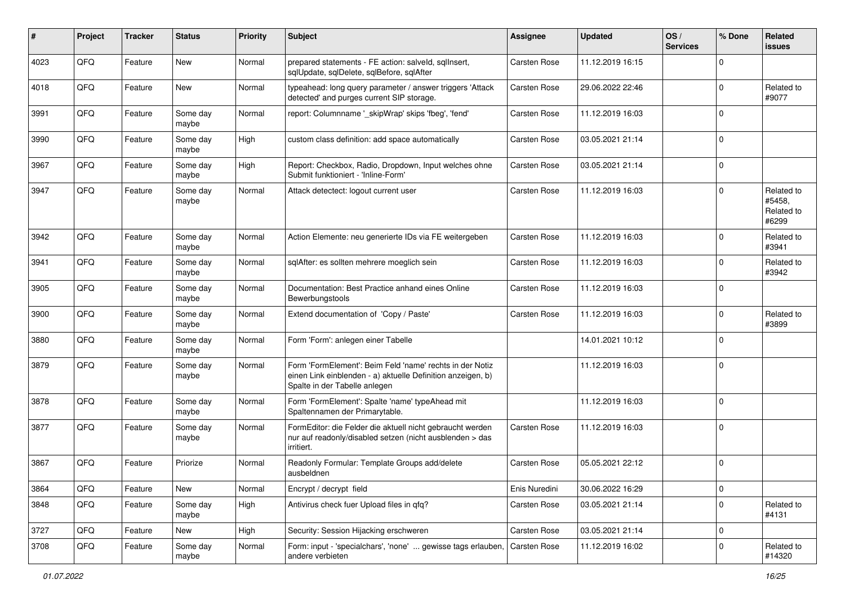| #    | Project | <b>Tracker</b> | <b>Status</b>     | <b>Priority</b> | <b>Subject</b>                                                                                                                                           | <b>Assignee</b>     | <b>Updated</b>   | OS/<br><b>Services</b> | % Done      | <b>Related</b><br><b>issues</b>             |
|------|---------|----------------|-------------------|-----------------|----------------------------------------------------------------------------------------------------------------------------------------------------------|---------------------|------------------|------------------------|-------------|---------------------------------------------|
| 4023 | QFQ     | Feature        | New               | Normal          | prepared statements - FE action: salveld, sqlInsert,<br>sqlUpdate, sqlDelete, sqlBefore, sqlAfter                                                        | Carsten Rose        | 11.12.2019 16:15 |                        | $\Omega$    |                                             |
| 4018 | QFQ     | Feature        | New               | Normal          | typeahead: long query parameter / answer triggers 'Attack<br>detected' and purges current SIP storage.                                                   | <b>Carsten Rose</b> | 29.06.2022 22:46 |                        | $\mathbf 0$ | Related to<br>#9077                         |
| 3991 | QFQ     | Feature        | Some day<br>maybe | Normal          | report: Columnname '_skipWrap' skips 'fbeg', 'fend'                                                                                                      | Carsten Rose        | 11.12.2019 16:03 |                        | $\Omega$    |                                             |
| 3990 | QFQ     | Feature        | Some day<br>maybe | High            | custom class definition: add space automatically                                                                                                         | <b>Carsten Rose</b> | 03.05.2021 21:14 |                        | $\mathbf 0$ |                                             |
| 3967 | QFQ     | Feature        | Some day<br>maybe | High            | Report: Checkbox, Radio, Dropdown, Input welches ohne<br>Submit funktioniert - 'Inline-Form'                                                             | <b>Carsten Rose</b> | 03.05.2021 21:14 |                        | $\mathbf 0$ |                                             |
| 3947 | QFQ     | Feature        | Some day<br>maybe | Normal          | Attack detectect: logout current user                                                                                                                    | Carsten Rose        | 11.12.2019 16:03 |                        | $\mathbf 0$ | Related to<br>#5458.<br>Related to<br>#6299 |
| 3942 | QFQ     | Feature        | Some day<br>maybe | Normal          | Action Elemente: neu generierte IDs via FE weitergeben                                                                                                   | <b>Carsten Rose</b> | 11.12.2019 16:03 |                        | $\mathbf 0$ | Related to<br>#3941                         |
| 3941 | QFQ     | Feature        | Some day<br>maybe | Normal          | sqlAfter: es sollten mehrere moeglich sein                                                                                                               | Carsten Rose        | 11.12.2019 16:03 |                        | $\mathbf 0$ | Related to<br>#3942                         |
| 3905 | QFQ     | Feature        | Some day<br>maybe | Normal          | Documentation: Best Practice anhand eines Online<br>Bewerbungstools                                                                                      | Carsten Rose        | 11.12.2019 16:03 |                        | $\mathbf 0$ |                                             |
| 3900 | QFQ     | Feature        | Some day<br>maybe | Normal          | Extend documentation of 'Copy / Paste'                                                                                                                   | <b>Carsten Rose</b> | 11.12.2019 16:03 |                        | $\mathbf 0$ | Related to<br>#3899                         |
| 3880 | QFQ     | Feature        | Some day<br>maybe | Normal          | Form 'Form': anlegen einer Tabelle                                                                                                                       |                     | 14.01.2021 10:12 |                        | $\mathbf 0$ |                                             |
| 3879 | QFQ     | Feature        | Some day<br>maybe | Normal          | Form 'FormElement': Beim Feld 'name' rechts in der Notiz<br>einen Link einblenden - a) aktuelle Definition anzeigen, b)<br>Spalte in der Tabelle anlegen |                     | 11.12.2019 16:03 |                        | $\mathbf 0$ |                                             |
| 3878 | QFQ     | Feature        | Some day<br>maybe | Normal          | Form 'FormElement': Spalte 'name' typeAhead mit<br>Spaltennamen der Primarytable.                                                                        |                     | 11.12.2019 16:03 |                        | $\mathbf 0$ |                                             |
| 3877 | QFQ     | Feature        | Some day<br>maybe | Normal          | FormEditor: die Felder die aktuell nicht gebraucht werden<br>nur auf readonly/disabled setzen (nicht ausblenden > das<br>irritiert.                      | Carsten Rose        | 11.12.2019 16:03 |                        | $\mathbf 0$ |                                             |
| 3867 | QFQ     | Feature        | Priorize          | Normal          | Readonly Formular: Template Groups add/delete<br>ausbeldnen                                                                                              | <b>Carsten Rose</b> | 05.05.2021 22:12 |                        | $\mathbf 0$ |                                             |
| 3864 | QFQ     | Feature        | New               | Normal          | Encrypt / decrypt field                                                                                                                                  | Enis Nuredini       | 30.06.2022 16:29 |                        | $\pmb{0}$   |                                             |
| 3848 | QFQ     | Feature        | Some day<br>maybe | High            | Antivirus check fuer Upload files in qfq?                                                                                                                | Carsten Rose        | 03.05.2021 21:14 |                        | $\mathbf 0$ | Related to<br>#4131                         |
| 3727 | QFQ     | Feature        | New               | High            | Security: Session Hijacking erschweren                                                                                                                   | Carsten Rose        | 03.05.2021 21:14 |                        | 0           |                                             |
| 3708 | QFQ     | Feature        | Some day<br>maybe | Normal          | Form: input - 'specialchars', 'none'  gewisse tags erlauben,<br>andere verbieten                                                                         | Carsten Rose        | 11.12.2019 16:02 |                        | $\mathbf 0$ | Related to<br>#14320                        |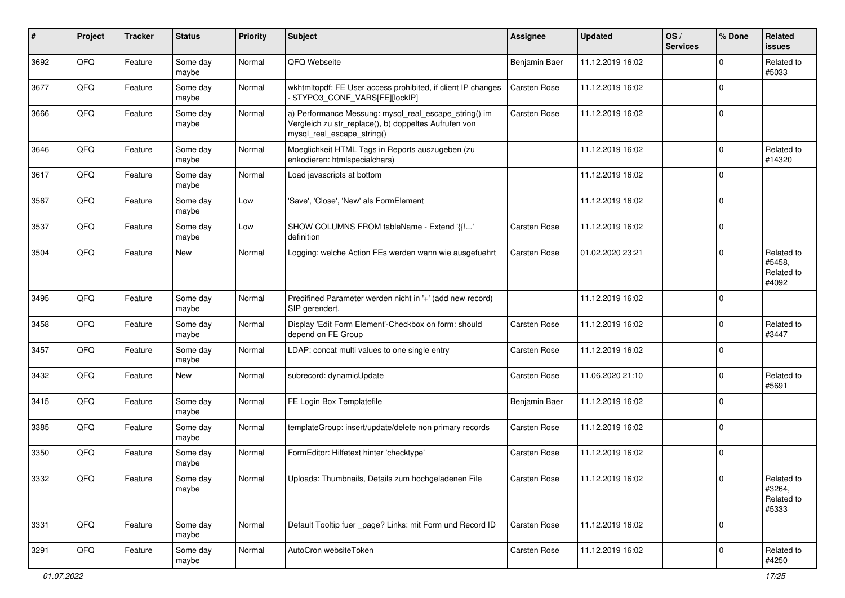| ∦    | Project | <b>Tracker</b> | <b>Status</b>     | <b>Priority</b> | <b>Subject</b>                                                                                                                               | <b>Assignee</b>     | <b>Updated</b>   | OS/<br><b>Services</b> | % Done      | Related<br><b>issues</b>                    |
|------|---------|----------------|-------------------|-----------------|----------------------------------------------------------------------------------------------------------------------------------------------|---------------------|------------------|------------------------|-------------|---------------------------------------------|
| 3692 | QFQ     | Feature        | Some day<br>maybe | Normal          | QFQ Webseite                                                                                                                                 | Benjamin Baer       | 11.12.2019 16:02 |                        | $\Omega$    | Related to<br>#5033                         |
| 3677 | QFQ     | Feature        | Some day<br>maybe | Normal          | wkhtmltopdf: FE User access prohibited, if client IP changes<br>\$TYPO3_CONF_VARS[FE][lockIP]                                                | Carsten Rose        | 11.12.2019 16:02 |                        | $\Omega$    |                                             |
| 3666 | QFQ     | Feature        | Some day<br>maybe | Normal          | a) Performance Messung: mysql_real_escape_string() im<br>Vergleich zu str_replace(), b) doppeltes Aufrufen von<br>mysql_real_escape_string() | <b>Carsten Rose</b> | 11.12.2019 16:02 |                        | $\Omega$    |                                             |
| 3646 | QFQ     | Feature        | Some day<br>maybe | Normal          | Moeglichkeit HTML Tags in Reports auszugeben (zu<br>enkodieren: htmlspecialchars)                                                            |                     | 11.12.2019 16:02 |                        | $\mathbf 0$ | Related to<br>#14320                        |
| 3617 | QFQ     | Feature        | Some day<br>maybe | Normal          | Load javascripts at bottom                                                                                                                   |                     | 11.12.2019 16:02 |                        | $\Omega$    |                                             |
| 3567 | QFQ     | Feature        | Some day<br>maybe | Low             | 'Save', 'Close', 'New' als FormElement                                                                                                       |                     | 11.12.2019 16:02 |                        | $\mathbf 0$ |                                             |
| 3537 | QFQ     | Feature        | Some day<br>maybe | Low             | SHOW COLUMNS FROM tableName - Extend '{{!'<br>definition                                                                                     | Carsten Rose        | 11.12.2019 16:02 |                        | $\mathbf 0$ |                                             |
| 3504 | QFQ     | Feature        | New               | Normal          | Logging: welche Action FEs werden wann wie ausgefuehrt                                                                                       | Carsten Rose        | 01.02.2020 23:21 |                        | $\Omega$    | Related to<br>#5458,<br>Related to<br>#4092 |
| 3495 | QFQ     | Feature        | Some day<br>maybe | Normal          | Predifined Parameter werden nicht in '+' (add new record)<br>SIP gerendert.                                                                  |                     | 11.12.2019 16:02 |                        | $\mathbf 0$ |                                             |
| 3458 | QFQ     | Feature        | Some day<br>maybe | Normal          | Display 'Edit Form Element'-Checkbox on form: should<br>depend on FE Group                                                                   | <b>Carsten Rose</b> | 11.12.2019 16:02 |                        | $\mathbf 0$ | Related to<br>#3447                         |
| 3457 | QFQ     | Feature        | Some day<br>maybe | Normal          | LDAP: concat multi values to one single entry                                                                                                | Carsten Rose        | 11.12.2019 16:02 |                        | $\mathbf 0$ |                                             |
| 3432 | QFQ     | Feature        | New               | Normal          | subrecord: dynamicUpdate                                                                                                                     | <b>Carsten Rose</b> | 11.06.2020 21:10 |                        | $\mathbf 0$ | Related to<br>#5691                         |
| 3415 | QFQ     | Feature        | Some day<br>maybe | Normal          | FE Login Box Templatefile                                                                                                                    | Benjamin Baer       | 11.12.2019 16:02 |                        | $\mathbf 0$ |                                             |
| 3385 | QFQ     | Feature        | Some day<br>maybe | Normal          | templateGroup: insert/update/delete non primary records                                                                                      | Carsten Rose        | 11.12.2019 16:02 |                        | $\Omega$    |                                             |
| 3350 | QFQ     | Feature        | Some day<br>maybe | Normal          | FormEditor: Hilfetext hinter 'checktype'                                                                                                     | Carsten Rose        | 11.12.2019 16:02 |                        | $\Omega$    |                                             |
| 3332 | QFQ     | Feature        | Some day<br>maybe | Normal          | Uploads: Thumbnails, Details zum hochgeladenen File                                                                                          | Carsten Rose        | 11.12.2019 16:02 |                        | $\pmb{0}$   | Related to<br>#3264,<br>Related to<br>#5333 |
| 3331 | QFQ     | Feature        | Some day<br>maybe | Normal          | Default Tooltip fuer _page? Links: mit Form und Record ID                                                                                    | Carsten Rose        | 11.12.2019 16:02 |                        | $\mathbf 0$ |                                             |
| 3291 | QFQ     | Feature        | Some day<br>maybe | Normal          | AutoCron websiteToken                                                                                                                        | Carsten Rose        | 11.12.2019 16:02 |                        | 0           | Related to<br>#4250                         |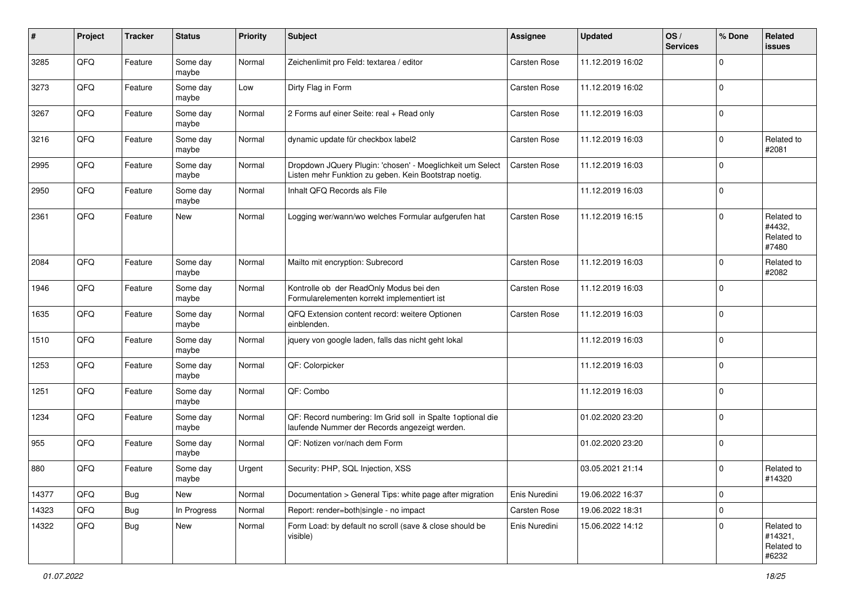| #     | Project | <b>Tracker</b> | <b>Status</b>     | <b>Priority</b> | <b>Subject</b>                                                                                                     | <b>Assignee</b>     | <b>Updated</b>   | OS/<br><b>Services</b> | % Done      | Related<br><b>issues</b>                     |
|-------|---------|----------------|-------------------|-----------------|--------------------------------------------------------------------------------------------------------------------|---------------------|------------------|------------------------|-------------|----------------------------------------------|
| 3285  | QFQ     | Feature        | Some day<br>maybe | Normal          | Zeichenlimit pro Feld: textarea / editor                                                                           | Carsten Rose        | 11.12.2019 16:02 |                        | $\Omega$    |                                              |
| 3273  | QFQ     | Feature        | Some day<br>maybe | Low             | Dirty Flag in Form                                                                                                 | Carsten Rose        | 11.12.2019 16:02 |                        | $\mathbf 0$ |                                              |
| 3267  | QFQ     | Feature        | Some day<br>maybe | Normal          | 2 Forms auf einer Seite: real + Read only                                                                          | <b>Carsten Rose</b> | 11.12.2019 16:03 |                        | $\Omega$    |                                              |
| 3216  | QFQ     | Feature        | Some day<br>maybe | Normal          | dynamic update für checkbox label2                                                                                 | Carsten Rose        | 11.12.2019 16:03 |                        | $\mathbf 0$ | Related to<br>#2081                          |
| 2995  | QFQ     | Feature        | Some day<br>maybe | Normal          | Dropdown JQuery Plugin: 'chosen' - Moeglichkeit um Select<br>Listen mehr Funktion zu geben. Kein Bootstrap noetig. | Carsten Rose        | 11.12.2019 16:03 |                        | $\mathbf 0$ |                                              |
| 2950  | QFQ     | Feature        | Some day<br>maybe | Normal          | Inhalt QFQ Records als File                                                                                        |                     | 11.12.2019 16:03 |                        | $\mathbf 0$ |                                              |
| 2361  | QFQ     | Feature        | New               | Normal          | Logging wer/wann/wo welches Formular aufgerufen hat                                                                | Carsten Rose        | 11.12.2019 16:15 |                        | $\Omega$    | Related to<br>#4432,<br>Related to<br>#7480  |
| 2084  | QFQ     | Feature        | Some day<br>maybe | Normal          | Mailto mit encryption: Subrecord                                                                                   | Carsten Rose        | 11.12.2019 16:03 |                        | $\mathbf 0$ | Related to<br>#2082                          |
| 1946  | QFQ     | Feature        | Some day<br>maybe | Normal          | Kontrolle ob der ReadOnly Modus bei den<br>Formularelementen korrekt implementiert ist                             | <b>Carsten Rose</b> | 11.12.2019 16:03 |                        | $\mathbf 0$ |                                              |
| 1635  | QFQ     | Feature        | Some day<br>maybe | Normal          | QFQ Extension content record: weitere Optionen<br>einblenden.                                                      | <b>Carsten Rose</b> | 11.12.2019 16:03 |                        | $\mathbf 0$ |                                              |
| 1510  | QFQ     | Feature        | Some day<br>maybe | Normal          | jquery von google laden, falls das nicht geht lokal                                                                |                     | 11.12.2019 16:03 |                        | $\mathbf 0$ |                                              |
| 1253  | QFQ     | Feature        | Some day<br>maybe | Normal          | QF: Colorpicker                                                                                                    |                     | 11.12.2019 16:03 |                        | $\Omega$    |                                              |
| 1251  | QFQ     | Feature        | Some day<br>maybe | Normal          | QF: Combo                                                                                                          |                     | 11.12.2019 16:03 |                        | $\Omega$    |                                              |
| 1234  | QFQ     | Feature        | Some day<br>maybe | Normal          | QF: Record numbering: Im Grid soll in Spalte 1 optional die<br>laufende Nummer der Records angezeigt werden.       |                     | 01.02.2020 23:20 |                        | $\Omega$    |                                              |
| 955   | QFQ     | Feature        | Some day<br>maybe | Normal          | QF: Notizen vor/nach dem Form                                                                                      |                     | 01.02.2020 23:20 |                        | $\mathbf 0$ |                                              |
| 880   | QFQ     | Feature        | Some day<br>maybe | Urgent          | Security: PHP, SQL Injection, XSS                                                                                  |                     | 03.05.2021 21:14 |                        | $\mathbf 0$ | Related to<br>#14320                         |
| 14377 | QFQ     | Bug            | New               | Normal          | Documentation > General Tips: white page after migration                                                           | Enis Nuredini       | 19.06.2022 16:37 |                        | $\mathbf 0$ |                                              |
| 14323 | QFQ     | <b>Bug</b>     | In Progress       | Normal          | Report: render=both single - no impact                                                                             | Carsten Rose        | 19.06.2022 18:31 |                        | $\pmb{0}$   |                                              |
| 14322 | QFQ     | <b>Bug</b>     | New               | Normal          | Form Load: by default no scroll (save & close should be<br>visible)                                                | Enis Nuredini       | 15.06.2022 14:12 |                        | $\Omega$    | Related to<br>#14321,<br>Related to<br>#6232 |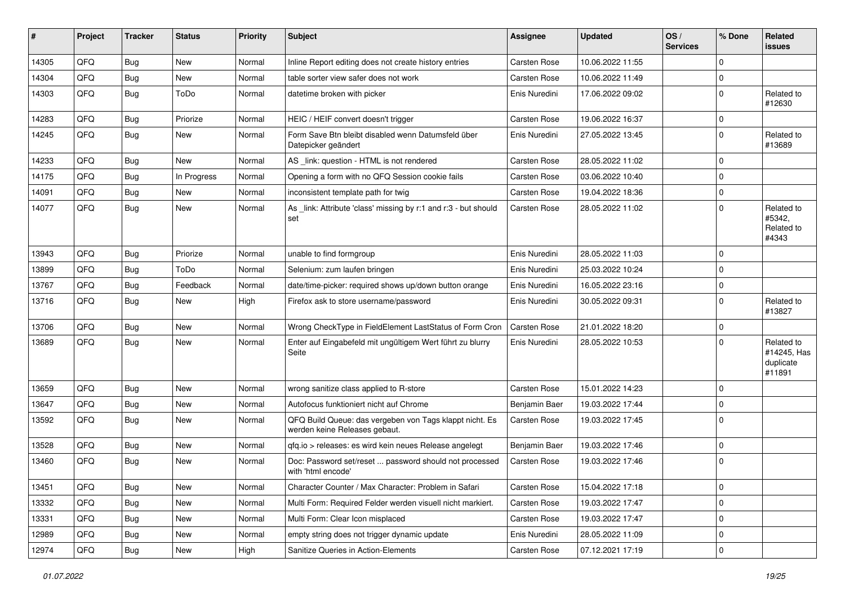| #     | Project | <b>Tracker</b> | <b>Status</b> | <b>Priority</b> | <b>Subject</b>                                                                           | Assignee            | <b>Updated</b>   | OS/<br><b>Services</b> | % Done      | Related<br><b>issues</b>                         |
|-------|---------|----------------|---------------|-----------------|------------------------------------------------------------------------------------------|---------------------|------------------|------------------------|-------------|--------------------------------------------------|
| 14305 | QFQ     | Bug            | <b>New</b>    | Normal          | Inline Report editing does not create history entries                                    | <b>Carsten Rose</b> | 10.06.2022 11:55 |                        | $\mathbf 0$ |                                                  |
| 14304 | QFQ     | <b>Bug</b>     | New           | Normal          | table sorter view safer does not work                                                    | Carsten Rose        | 10.06.2022 11:49 |                        | $\pmb{0}$   |                                                  |
| 14303 | QFQ     | Bug            | ToDo          | Normal          | datetime broken with picker                                                              | Enis Nuredini       | 17.06.2022 09:02 |                        | $\mathbf 0$ | Related to<br>#12630                             |
| 14283 | QFQ     | <b>Bug</b>     | Priorize      | Normal          | HEIC / HEIF convert doesn't trigger                                                      | <b>Carsten Rose</b> | 19.06.2022 16:37 |                        | $\pmb{0}$   |                                                  |
| 14245 | QFQ     | <b>Bug</b>     | <b>New</b>    | Normal          | Form Save Btn bleibt disabled wenn Datumsfeld über<br>Datepicker geändert                | Enis Nuredini       | 27.05.2022 13:45 |                        | $\mathbf 0$ | Related to<br>#13689                             |
| 14233 | QFQ     | <b>Bug</b>     | New           | Normal          | AS link: question - HTML is not rendered                                                 | <b>Carsten Rose</b> | 28.05.2022 11:02 |                        | $\mathbf 0$ |                                                  |
| 14175 | QFQ     | <b>Bug</b>     | In Progress   | Normal          | Opening a form with no QFQ Session cookie fails                                          | Carsten Rose        | 03.06.2022 10:40 |                        | $\mathbf 0$ |                                                  |
| 14091 | QFQ     | <b>Bug</b>     | <b>New</b>    | Normal          | inconsistent template path for twig                                                      | Carsten Rose        | 19.04.2022 18:36 |                        | $\pmb{0}$   |                                                  |
| 14077 | QFQ     | Bug            | New           | Normal          | As _link: Attribute 'class' missing by r:1 and r:3 - but should<br>set                   | Carsten Rose        | 28.05.2022 11:02 |                        | $\mathbf 0$ | Related to<br>#5342,<br>Related to<br>#4343      |
| 13943 | QFQ     | <b>Bug</b>     | Priorize      | Normal          | unable to find formgroup                                                                 | Enis Nuredini       | 28.05.2022 11:03 |                        | $\mathbf 0$ |                                                  |
| 13899 | QFQ     | <b>Bug</b>     | ToDo          | Normal          | Selenium: zum laufen bringen                                                             | Enis Nuredini       | 25.03.2022 10:24 |                        | $\mathbf 0$ |                                                  |
| 13767 | QFQ     | <b>Bug</b>     | Feedback      | Normal          | date/time-picker: required shows up/down button orange                                   | Enis Nuredini       | 16.05.2022 23:16 |                        | $\pmb{0}$   |                                                  |
| 13716 | QFQ     | Bug            | New           | High            | Firefox ask to store username/password                                                   | Enis Nuredini       | 30.05.2022 09:31 |                        | $\mathbf 0$ | Related to<br>#13827                             |
| 13706 | QFQ     | Bug            | <b>New</b>    | Normal          | Wrong CheckType in FieldElement LastStatus of Form Cron                                  | Carsten Rose        | 21.01.2022 18:20 |                        | $\pmb{0}$   |                                                  |
| 13689 | QFQ     | <b>Bug</b>     | <b>New</b>    | Normal          | Enter auf Eingabefeld mit ungültigem Wert führt zu blurry<br>Seite                       | Enis Nuredini       | 28.05.2022 10:53 |                        | $\Omega$    | Related to<br>#14245, Has<br>duplicate<br>#11891 |
| 13659 | QFQ     | <b>Bug</b>     | <b>New</b>    | Normal          | wrong sanitize class applied to R-store                                                  | Carsten Rose        | 15.01.2022 14:23 |                        | $\pmb{0}$   |                                                  |
| 13647 | QFQ     | <b>Bug</b>     | New           | Normal          | Autofocus funktioniert nicht auf Chrome                                                  | Benjamin Baer       | 19.03.2022 17:44 |                        | $\mathbf 0$ |                                                  |
| 13592 | QFQ     | Bug            | <b>New</b>    | Normal          | QFQ Build Queue: das vergeben von Tags klappt nicht. Es<br>werden keine Releases gebaut. | Carsten Rose        | 19.03.2022 17:45 |                        | $\Omega$    |                                                  |
| 13528 | QFQ     | <b>Bug</b>     | <b>New</b>    | Normal          | qfq.io > releases: es wird kein neues Release angelegt                                   | Benjamin Baer       | 19.03.2022 17:46 |                        | $\pmb{0}$   |                                                  |
| 13460 | QFQ     | <b>Bug</b>     | <b>New</b>    | Normal          | Doc: Password set/reset  password should not processed<br>with 'html encode'             | Carsten Rose        | 19.03.2022 17:46 |                        | $\mathbf 0$ |                                                  |
| 13451 | QFQ     | <b>Bug</b>     | New           | Normal          | Character Counter / Max Character: Problem in Safari                                     | Carsten Rose        | 15.04.2022 17:18 |                        | 0           |                                                  |
| 13332 | QFQ     | <b>Bug</b>     | New           | Normal          | Multi Form: Required Felder werden visuell nicht markiert.                               | Carsten Rose        | 19.03.2022 17:47 |                        | $\pmb{0}$   |                                                  |
| 13331 | QFQ     | Bug            | New           | Normal          | Multi Form: Clear Icon misplaced                                                         | Carsten Rose        | 19.03.2022 17:47 |                        | $\pmb{0}$   |                                                  |
| 12989 | QFQ     | Bug            | New           | Normal          | empty string does not trigger dynamic update                                             | Enis Nuredini       | 28.05.2022 11:09 |                        | 0           |                                                  |
| 12974 | QFQ     | <b>Bug</b>     | New           | High            | Sanitize Queries in Action-Elements                                                      | Carsten Rose        | 07.12.2021 17:19 |                        | $\pmb{0}$   |                                                  |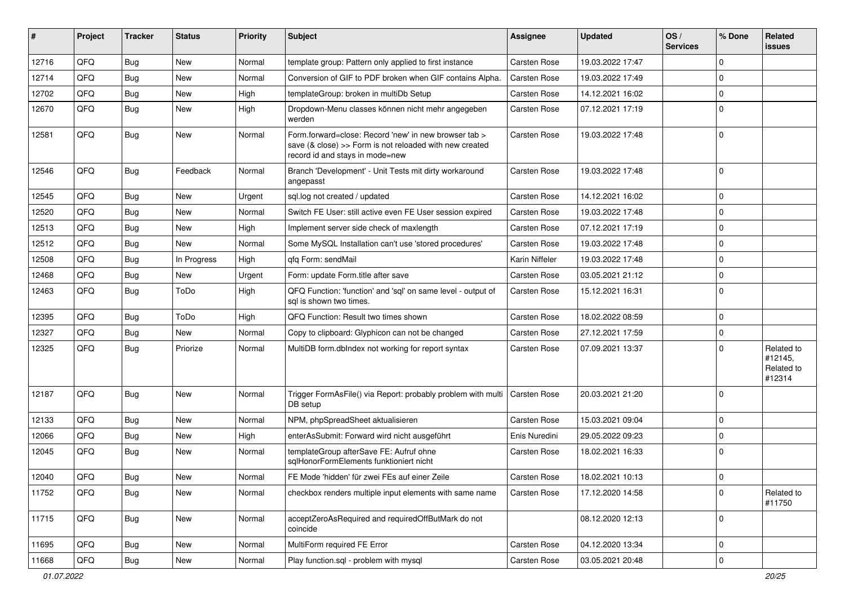| #     | Project | <b>Tracker</b> | <b>Status</b> | <b>Priority</b> | <b>Subject</b>                                                                                                                                      | <b>Assignee</b> | <b>Updated</b>   | OS/<br><b>Services</b> | % Done      | Related<br><b>issues</b>                      |
|-------|---------|----------------|---------------|-----------------|-----------------------------------------------------------------------------------------------------------------------------------------------------|-----------------|------------------|------------------------|-------------|-----------------------------------------------|
| 12716 | QFQ     | Bug            | <b>New</b>    | Normal          | template group: Pattern only applied to first instance                                                                                              | Carsten Rose    | 19.03.2022 17:47 |                        | $\mathbf 0$ |                                               |
| 12714 | QFQ     | Bug            | <b>New</b>    | Normal          | Conversion of GIF to PDF broken when GIF contains Alpha.                                                                                            | Carsten Rose    | 19.03.2022 17:49 |                        | $\mathbf 0$ |                                               |
| 12702 | QFQ     | Bug            | <b>New</b>    | High            | templateGroup: broken in multiDb Setup                                                                                                              | Carsten Rose    | 14.12.2021 16:02 |                        | $\mathbf 0$ |                                               |
| 12670 | QFQ     | <b>Bug</b>     | <b>New</b>    | High            | Dropdown-Menu classes können nicht mehr angegeben<br>werden                                                                                         | Carsten Rose    | 07.12.2021 17:19 |                        | $\mathbf 0$ |                                               |
| 12581 | QFQ     | Bug            | New           | Normal          | Form.forward=close: Record 'new' in new browser tab ><br>save (& close) >> Form is not reloaded with new created<br>record id and stays in mode=new | Carsten Rose    | 19.03.2022 17:48 |                        | $\mathbf 0$ |                                               |
| 12546 | QFQ     | Bug            | Feedback      | Normal          | Branch 'Development' - Unit Tests mit dirty workaround<br>angepasst                                                                                 | Carsten Rose    | 19.03.2022 17:48 |                        | $\mathbf 0$ |                                               |
| 12545 | QFQ     | Bug            | <b>New</b>    | Urgent          | sql.log not created / updated                                                                                                                       | Carsten Rose    | 14.12.2021 16:02 |                        | $\mathbf 0$ |                                               |
| 12520 | QFQ     | Bug            | <b>New</b>    | Normal          | Switch FE User: still active even FE User session expired                                                                                           | Carsten Rose    | 19.03.2022 17:48 |                        | $\mathbf 0$ |                                               |
| 12513 | QFQ     | Bug            | <b>New</b>    | High            | Implement server side check of maxlength                                                                                                            | Carsten Rose    | 07.12.2021 17:19 |                        | $\mathbf 0$ |                                               |
| 12512 | QFQ     | Bug            | <b>New</b>    | Normal          | Some MySQL Installation can't use 'stored procedures'                                                                                               | Carsten Rose    | 19.03.2022 17:48 |                        | $\mathbf 0$ |                                               |
| 12508 | QFQ     | Bug            | In Progress   | High            | gfg Form: sendMail                                                                                                                                  | Karin Niffeler  | 19.03.2022 17:48 |                        | $\mathbf 0$ |                                               |
| 12468 | QFQ     | Bug            | <b>New</b>    | Urgent          | Form: update Form.title after save                                                                                                                  | Carsten Rose    | 03.05.2021 21:12 |                        | $\mathbf 0$ |                                               |
| 12463 | QFQ     | Bug            | ToDo          | High            | QFQ Function: 'function' and 'sql' on same level - output of<br>sql is shown two times.                                                             | Carsten Rose    | 15.12.2021 16:31 |                        | $\mathbf 0$ |                                               |
| 12395 | QFQ     | Bug            | ToDo          | High            | QFQ Function: Result two times shown                                                                                                                | Carsten Rose    | 18.02.2022 08:59 |                        | $\mathbf 0$ |                                               |
| 12327 | QFQ     | Bug            | <b>New</b>    | Normal          | Copy to clipboard: Glyphicon can not be changed                                                                                                     | Carsten Rose    | 27.12.2021 17:59 |                        | $\mathbf 0$ |                                               |
| 12325 | QFQ     | Bug            | Priorize      | Normal          | MultiDB form.dblndex not working for report syntax                                                                                                  | Carsten Rose    | 07.09.2021 13:37 |                        | $\mathbf 0$ | Related to<br>#12145,<br>Related to<br>#12314 |
| 12187 | QFQ     | Bug            | <b>New</b>    | Normal          | Trigger FormAsFile() via Report: probably problem with multi   Carsten Rose<br>DB setup                                                             |                 | 20.03.2021 21:20 |                        | $\mathbf 0$ |                                               |
| 12133 | QFQ     | Bug            | <b>New</b>    | Normal          | NPM, phpSpreadSheet aktualisieren                                                                                                                   | Carsten Rose    | 15.03.2021 09:04 |                        | $\mathbf 0$ |                                               |
| 12066 | QFQ     | Bug            | <b>New</b>    | High            | enterAsSubmit: Forward wird nicht ausgeführt                                                                                                        | Enis Nuredini   | 29.05.2022 09:23 |                        | 0           |                                               |
| 12045 | QFQ     | Bug            | <b>New</b>    | Normal          | templateGroup afterSave FE: Aufruf ohne<br>sqlHonorFormElements funktioniert nicht                                                                  | Carsten Rose    | 18.02.2021 16:33 |                        | $\mathbf 0$ |                                               |
| 12040 | QFQ     | Bug            | New           | Normal          | FE Mode 'hidden' für zwei FEs auf einer Zeile                                                                                                       | Carsten Rose    | 18.02.2021 10:13 |                        | $\pmb{0}$   |                                               |
| 11752 | QFQ     | Bug            | New           | Normal          | checkbox renders multiple input elements with same name                                                                                             | Carsten Rose    | 17.12.2020 14:58 |                        | $\mathbf 0$ | Related to<br>#11750                          |
| 11715 | QFQ     | <b>Bug</b>     | New           | Normal          | acceptZeroAsRequired and requiredOffButMark do not<br>coincide                                                                                      |                 | 08.12.2020 12:13 |                        | $\mathbf 0$ |                                               |
| 11695 | QFQ     | <b>Bug</b>     | New           | Normal          | MultiForm required FE Error                                                                                                                         | Carsten Rose    | 04.12.2020 13:34 |                        | $\mathsf 0$ |                                               |
| 11668 | QFQ     | <b>Bug</b>     | New           | Normal          | Play function.sql - problem with mysql                                                                                                              | Carsten Rose    | 03.05.2021 20:48 |                        | $\mathbf 0$ |                                               |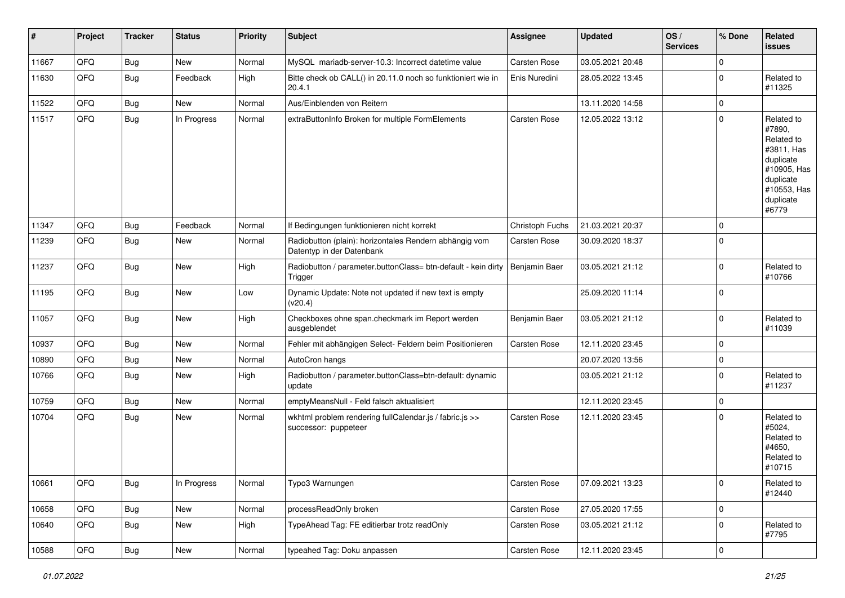| #     | Project | <b>Tracker</b> | <b>Status</b> | <b>Priority</b> | <b>Subject</b>                                                                      | Assignee            | <b>Updated</b>   | OS/<br><b>Services</b> | % Done      | Related<br>issues                                                                                                              |
|-------|---------|----------------|---------------|-----------------|-------------------------------------------------------------------------------------|---------------------|------------------|------------------------|-------------|--------------------------------------------------------------------------------------------------------------------------------|
| 11667 | QFQ     | <b>Bug</b>     | <b>New</b>    | Normal          | MySQL mariadb-server-10.3: Incorrect datetime value                                 | Carsten Rose        | 03.05.2021 20:48 |                        | $\mathbf 0$ |                                                                                                                                |
| 11630 | QFQ     | Bug            | Feedback      | High            | Bitte check ob CALL() in 20.11.0 noch so funktioniert wie in<br>20.4.1              | Enis Nuredini       | 28.05.2022 13:45 |                        | $\pmb{0}$   | Related to<br>#11325                                                                                                           |
| 11522 | QFQ     | <b>Bug</b>     | New           | Normal          | Aus/Einblenden von Reitern                                                          |                     | 13.11.2020 14:58 |                        | $\pmb{0}$   |                                                                                                                                |
| 11517 | QFQ     | <b>Bug</b>     | In Progress   | Normal          | extraButtonInfo Broken for multiple FormElements                                    | Carsten Rose        | 12.05.2022 13:12 |                        | $\pmb{0}$   | Related to<br>#7890,<br>Related to<br>#3811, Has<br>duplicate<br>#10905, Has<br>duplicate<br>#10553, Has<br>duplicate<br>#6779 |
| 11347 | QFQ     | Bug            | Feedback      | Normal          | If Bedingungen funktionieren nicht korrekt                                          | Christoph Fuchs     | 21.03.2021 20:37 |                        | $\mathbf 0$ |                                                                                                                                |
| 11239 | QFQ     | <b>Bug</b>     | New           | Normal          | Radiobutton (plain): horizontales Rendern abhängig vom<br>Datentyp in der Datenbank | Carsten Rose        | 30.09.2020 18:37 |                        | $\pmb{0}$   |                                                                                                                                |
| 11237 | QFQ     | <b>Bug</b>     | New           | High            | Radiobutton / parameter.buttonClass= btn-default - kein dirty<br>Trigger            | Benjamin Baer       | 03.05.2021 21:12 |                        | $\pmb{0}$   | Related to<br>#10766                                                                                                           |
| 11195 | QFQ     | Bug            | <b>New</b>    | Low             | Dynamic Update: Note not updated if new text is empty<br>(v20.4)                    |                     | 25.09.2020 11:14 |                        | $\pmb{0}$   |                                                                                                                                |
| 11057 | QFQ     | Bug            | New           | High            | Checkboxes ohne span.checkmark im Report werden<br>ausgeblendet                     | Benjamin Baer       | 03.05.2021 21:12 |                        | $\pmb{0}$   | Related to<br>#11039                                                                                                           |
| 10937 | QFQ     | <b>Bug</b>     | New           | Normal          | Fehler mit abhängigen Select- Feldern beim Positionieren                            | Carsten Rose        | 12.11.2020 23:45 |                        | $\pmb{0}$   |                                                                                                                                |
| 10890 | QFQ     | Bug            | New           | Normal          | AutoCron hangs                                                                      |                     | 20.07.2020 13:56 |                        | $\pmb{0}$   |                                                                                                                                |
| 10766 | QFQ     | Bug            | <b>New</b>    | High            | Radiobutton / parameter.buttonClass=btn-default: dynamic<br>update                  |                     | 03.05.2021 21:12 |                        | $\mathbf 0$ | Related to<br>#11237                                                                                                           |
| 10759 | QFQ     | <b>Bug</b>     | <b>New</b>    | Normal          | emptyMeansNull - Feld falsch aktualisiert                                           |                     | 12.11.2020 23:45 |                        | $\pmb{0}$   |                                                                                                                                |
| 10704 | QFQ     | <b>Bug</b>     | New           | Normal          | wkhtml problem rendering fullCalendar.js / fabric.js >><br>successor: puppeteer     | <b>Carsten Rose</b> | 12.11.2020 23:45 |                        | $\Omega$    | Related to<br>#5024,<br>Related to<br>#4650,<br>Related to<br>#10715                                                           |
| 10661 | QFQ     | <b>Bug</b>     | In Progress   | Normal          | Typo3 Warnungen                                                                     | Carsten Rose        | 07.09.2021 13:23 |                        | $\mathbf 0$ | Related to<br>#12440                                                                                                           |
| 10658 | QFQ     | <b>Bug</b>     | New           | Normal          | processReadOnly broken                                                              | Carsten Rose        | 27.05.2020 17:55 |                        | $\mathsf 0$ |                                                                                                                                |
| 10640 | QFQ     | <b>Bug</b>     | New           | High            | TypeAhead Tag: FE editierbar trotz readOnly                                         | Carsten Rose        | 03.05.2021 21:12 |                        | $\pmb{0}$   | Related to<br>#7795                                                                                                            |
| 10588 | QFQ     | <b>Bug</b>     | New           | Normal          | typeahed Tag: Doku anpassen                                                         | Carsten Rose        | 12.11.2020 23:45 |                        | $\mathsf 0$ |                                                                                                                                |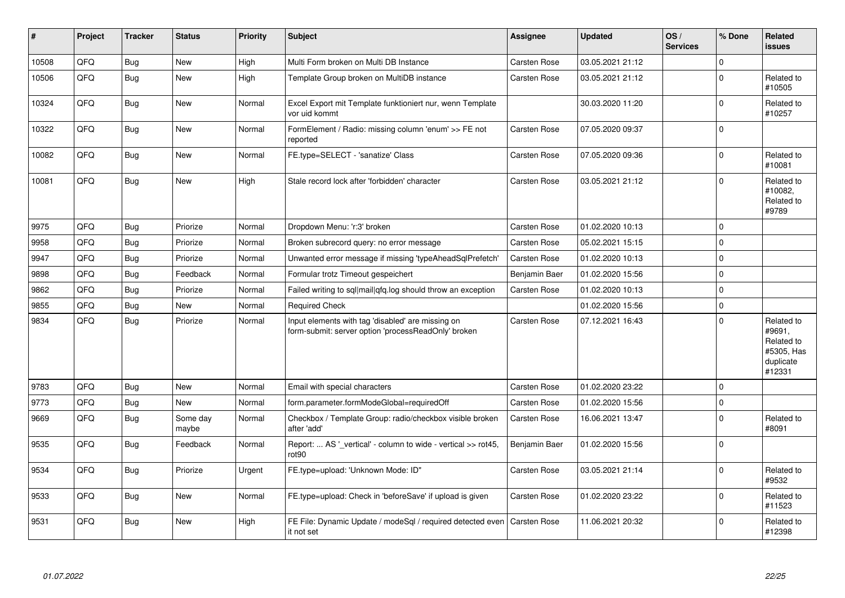| $\sharp$ | Project | <b>Tracker</b> | <b>Status</b>     | <b>Priority</b> | <b>Subject</b>                                                                                           | Assignee            | <b>Updated</b>   | OS/<br><b>Services</b> | % Done      | <b>Related</b><br>issues                                                |
|----------|---------|----------------|-------------------|-----------------|----------------------------------------------------------------------------------------------------------|---------------------|------------------|------------------------|-------------|-------------------------------------------------------------------------|
| 10508    | QFQ     | Bug            | <b>New</b>        | High            | Multi Form broken on Multi DB Instance                                                                   | <b>Carsten Rose</b> | 03.05.2021 21:12 |                        | $\mathbf 0$ |                                                                         |
| 10506    | QFQ     | Bug            | <b>New</b>        | High            | Template Group broken on MultiDB instance                                                                | <b>Carsten Rose</b> | 03.05.2021 21:12 |                        | $\pmb{0}$   | Related to<br>#10505                                                    |
| 10324    | QFQ     | Bug            | <b>New</b>        | Normal          | Excel Export mit Template funktioniert nur, wenn Template<br>vor uid kommt                               |                     | 30.03.2020 11:20 |                        | $\mathbf 0$ | Related to<br>#10257                                                    |
| 10322    | QFQ     | Bug            | <b>New</b>        | Normal          | FormElement / Radio: missing column 'enum' >> FE not<br>reported                                         | <b>Carsten Rose</b> | 07.05.2020 09:37 |                        | $\mathbf 0$ |                                                                         |
| 10082    | QFQ     | <b>Bug</b>     | <b>New</b>        | Normal          | FE.type=SELECT - 'sanatize' Class                                                                        | <b>Carsten Rose</b> | 07.05.2020 09:36 |                        | $\pmb{0}$   | Related to<br>#10081                                                    |
| 10081    | QFQ     | Bug            | <b>New</b>        | High            | Stale record lock after 'forbidden' character                                                            | <b>Carsten Rose</b> | 03.05.2021 21:12 |                        | $\mathbf 0$ | Related to<br>#10082,<br>Related to<br>#9789                            |
| 9975     | QFQ     | Bug            | Priorize          | Normal          | Dropdown Menu: 'r:3' broken                                                                              | Carsten Rose        | 01.02.2020 10:13 |                        | $\mathbf 0$ |                                                                         |
| 9958     | QFQ     | Bug            | Priorize          | Normal          | Broken subrecord query: no error message                                                                 | <b>Carsten Rose</b> | 05.02.2021 15:15 |                        | $\Omega$    |                                                                         |
| 9947     | QFQ     | Bug            | Priorize          | Normal          | Unwanted error message if missing 'typeAheadSqlPrefetch'                                                 | <b>Carsten Rose</b> | 01.02.2020 10:13 |                        | $\mathbf 0$ |                                                                         |
| 9898     | QFQ     | <b>Bug</b>     | Feedback          | Normal          | Formular trotz Timeout gespeichert                                                                       | Benjamin Baer       | 01.02.2020 15:56 |                        | $\mathbf 0$ |                                                                         |
| 9862     | QFQ     | Bug            | Priorize          | Normal          | Failed writing to sql mail qfq.log should throw an exception                                             | <b>Carsten Rose</b> | 01.02.2020 10:13 |                        | $\pmb{0}$   |                                                                         |
| 9855     | QFQ     | Bug            | <b>New</b>        | Normal          | <b>Required Check</b>                                                                                    |                     | 01.02.2020 15:56 |                        | $\pmb{0}$   |                                                                         |
| 9834     | QFQ     | Bug            | Priorize          | Normal          | Input elements with tag 'disabled' are missing on<br>form-submit: server option 'processReadOnly' broken | <b>Carsten Rose</b> | 07.12.2021 16:43 |                        | $\Omega$    | Related to<br>#9691,<br>Related to<br>#5305, Has<br>duplicate<br>#12331 |
| 9783     | QFQ     | Bug            | <b>New</b>        | Normal          | Email with special characters                                                                            | Carsten Rose        | 01.02.2020 23:22 |                        | $\mathbf 0$ |                                                                         |
| 9773     | QFQ     | Bug            | <b>New</b>        | Normal          | form.parameter.formModeGlobal=requiredOff                                                                | <b>Carsten Rose</b> | 01.02.2020 15:56 |                        | 0           |                                                                         |
| 9669     | QFQ     | Bug            | Some day<br>maybe | Normal          | Checkbox / Template Group: radio/checkbox visible broken<br>after 'add'                                  | <b>Carsten Rose</b> | 16.06.2021 13:47 |                        | $\mathbf 0$ | Related to<br>#8091                                                     |
| 9535     | QFQ     | Bug            | Feedback          | Normal          | Report:  AS '_vertical' - column to wide - vertical >> rot45,<br>rot <sub>90</sub>                       | Benjamin Baer       | 01.02.2020 15:56 |                        | $\Omega$    |                                                                         |
| 9534     | QFQ     | Bug            | Priorize          | Urgent          | FE.type=upload: 'Unknown Mode: ID"                                                                       | Carsten Rose        | 03.05.2021 21:14 |                        | $\mathbf 0$ | Related to<br>#9532                                                     |
| 9533     | QFQ     | Bug            | <b>New</b>        | Normal          | FE.type=upload: Check in 'beforeSave' if upload is given                                                 | <b>Carsten Rose</b> | 01.02.2020 23:22 |                        | $\Omega$    | Related to<br>#11523                                                    |
| 9531     | QFQ     | Bug            | <b>New</b>        | High            | FE File: Dynamic Update / modeSgl / required detected even<br>it not set                                 | <b>Carsten Rose</b> | 11.06.2021 20:32 |                        | $\mathbf 0$ | Related to<br>#12398                                                    |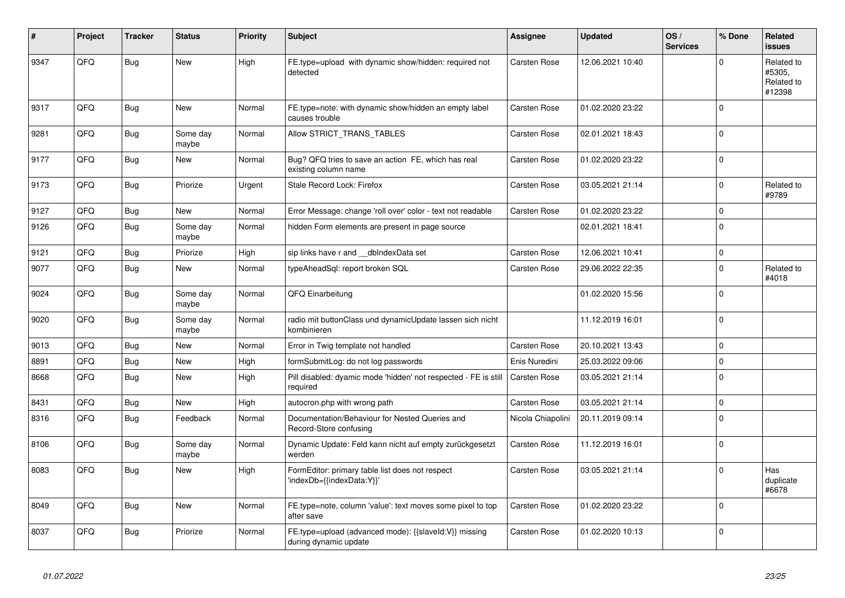| #    | Project | <b>Tracker</b> | <b>Status</b>     | <b>Priority</b> | <b>Subject</b>                                                                 | <b>Assignee</b>     | <b>Updated</b>   | OS/<br><b>Services</b> | % Done       | <b>Related</b><br>issues                     |
|------|---------|----------------|-------------------|-----------------|--------------------------------------------------------------------------------|---------------------|------------------|------------------------|--------------|----------------------------------------------|
| 9347 | QFQ     | Bug            | <b>New</b>        | High            | FE.type=upload with dynamic show/hidden: required not<br>detected              | Carsten Rose        | 12.06.2021 10:40 |                        | $\Omega$     | Related to<br>#5305.<br>Related to<br>#12398 |
| 9317 | QFQ     | <b>Bug</b>     | <b>New</b>        | Normal          | FE.type=note: with dynamic show/hidden an empty label<br>causes trouble        | Carsten Rose        | 01.02.2020 23:22 |                        | $\mathbf 0$  |                                              |
| 9281 | QFQ     | <b>Bug</b>     | Some day<br>maybe | Normal          | Allow STRICT_TRANS_TABLES                                                      | Carsten Rose        | 02.01.2021 18:43 |                        | $\Omega$     |                                              |
| 9177 | QFQ     | Bug            | <b>New</b>        | Normal          | Bug? QFQ tries to save an action FE, which has real<br>existing column name    | Carsten Rose        | 01.02.2020 23:22 |                        | $\pmb{0}$    |                                              |
| 9173 | QFQ     | Bug            | Priorize          | Urgent          | Stale Record Lock: Firefox                                                     | Carsten Rose        | 03.05.2021 21:14 |                        | $\mathbf 0$  | Related to<br>#9789                          |
| 9127 | QFQ     | <b>Bug</b>     | New               | Normal          | Error Message: change 'roll over' color - text not readable                    | Carsten Rose        | 01.02.2020 23:22 |                        | $\mathsf 0$  |                                              |
| 9126 | QFQ     | <b>Bug</b>     | Some day<br>maybe | Normal          | hidden Form elements are present in page source                                |                     | 02.01.2021 18:41 |                        | $\mathbf 0$  |                                              |
| 9121 | QFQ     | <b>Bug</b>     | Priorize          | High            | sip links have r and __dbIndexData set                                         | Carsten Rose        | 12.06.2021 10:41 |                        | $\mathbf 0$  |                                              |
| 9077 | QFQ     | <b>Bug</b>     | <b>New</b>        | Normal          | typeAheadSql: report broken SQL                                                | Carsten Rose        | 29.06.2022 22:35 |                        | $\mathbf 0$  | Related to<br>#4018                          |
| 9024 | QFQ     | <b>Bug</b>     | Some day<br>maybe | Normal          | QFQ Einarbeitung                                                               |                     | 01.02.2020 15:56 |                        | $\mathbf{0}$ |                                              |
| 9020 | QFQ     | <b>Bug</b>     | Some day<br>maybe | Normal          | radio mit buttonClass und dynamicUpdate lassen sich nicht<br>kombinieren       |                     | 11.12.2019 16:01 |                        | $\mathbf 0$  |                                              |
| 9013 | QFQ     | <b>Bug</b>     | <b>New</b>        | Normal          | Error in Twig template not handled                                             | Carsten Rose        | 20.10.2021 13:43 |                        | $\pmb{0}$    |                                              |
| 8891 | QFQ     | <b>Bug</b>     | New               | High            | formSubmitLog: do not log passwords                                            | Enis Nuredini       | 25.03.2022 09:06 |                        | $\mathsf 0$  |                                              |
| 8668 | QFQ     | Bug            | New               | High            | Pill disabled: dyamic mode 'hidden' not respected - FE is still<br>required    | <b>Carsten Rose</b> | 03.05.2021 21:14 |                        | $\mathbf 0$  |                                              |
| 8431 | QFQ     | <b>Bug</b>     | <b>New</b>        | High            | autocron.php with wrong path                                                   | <b>Carsten Rose</b> | 03.05.2021 21:14 |                        | $\mathsf 0$  |                                              |
| 8316 | QFQ     | Bug            | Feedback          | Normal          | Documentation/Behaviour for Nested Queries and<br>Record-Store confusing       | Nicola Chiapolini   | 20.11.2019 09:14 |                        | $\mathbf 0$  |                                              |
| 8106 | QFQ     | Bug            | Some day<br>maybe | Normal          | Dynamic Update: Feld kann nicht auf empty zurückgesetzt<br>werden              | Carsten Rose        | 11.12.2019 16:01 |                        | $\mathsf 0$  |                                              |
| 8083 | QFQ     | <b>Bug</b>     | <b>New</b>        | High            | FormEditor: primary table list does not respect<br>'indexDb={{indexData:Y}}'   | Carsten Rose        | 03.05.2021 21:14 |                        | $\mathbf 0$  | Has<br>duplicate<br>#6678                    |
| 8049 | QFQ     | Bug            | New               | Normal          | FE.type=note, column 'value': text moves some pixel to top<br>after save       | Carsten Rose        | 01.02.2020 23:22 |                        | $\mathbf 0$  |                                              |
| 8037 | QFQ     | Bug            | Priorize          | Normal          | FE.type=upload (advanced mode): {{slaveId:V}} missing<br>during dynamic update | Carsten Rose        | 01.02.2020 10:13 |                        | $\Omega$     |                                              |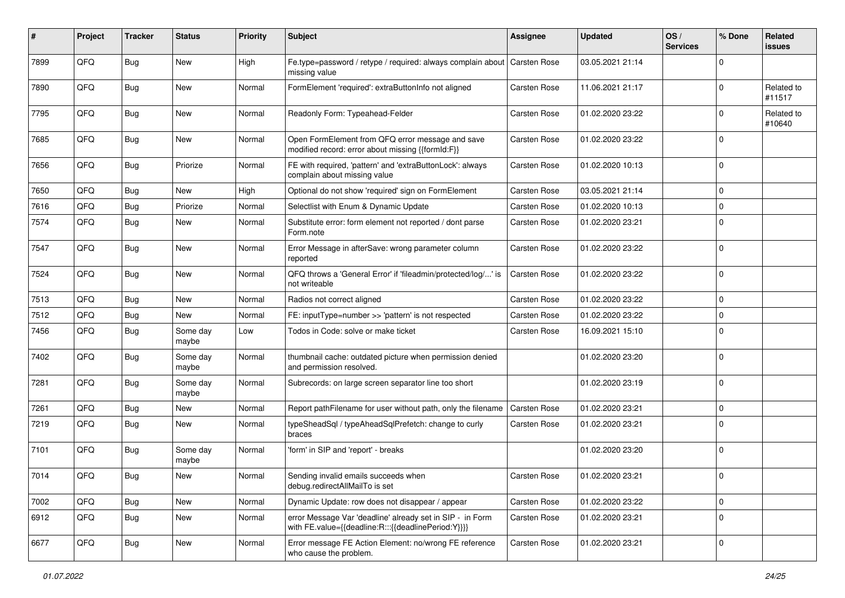| #    | Project | <b>Tracker</b> | <b>Status</b>     | <b>Priority</b> | <b>Subject</b>                                                                                                   | <b>Assignee</b>     | <b>Updated</b>   | OS/<br><b>Services</b> | % Done      | Related<br><b>issues</b> |
|------|---------|----------------|-------------------|-----------------|------------------------------------------------------------------------------------------------------------------|---------------------|------------------|------------------------|-------------|--------------------------|
| 7899 | QFQ     | <b>Bug</b>     | <b>New</b>        | High            | Fe.type=password / retype / required: always complain about Carsten Rose<br>missing value                        |                     | 03.05.2021 21:14 |                        | $\Omega$    |                          |
| 7890 | QFQ     | Bug            | New               | Normal          | FormElement 'required': extraButtonInfo not aligned                                                              | Carsten Rose        | 11.06.2021 21:17 |                        | $\Omega$    | Related to<br>#11517     |
| 7795 | QFQ     | Bug            | <b>New</b>        | Normal          | Readonly Form: Typeahead-Felder                                                                                  | Carsten Rose        | 01.02.2020 23:22 |                        | 0           | Related to<br>#10640     |
| 7685 | QFQ     | <b>Bug</b>     | <b>New</b>        | Normal          | Open FormElement from QFQ error message and save<br>modified record: error about missing {{formId:F}}            | Carsten Rose        | 01.02.2020 23:22 |                        | $\Omega$    |                          |
| 7656 | QFQ     | <b>Bug</b>     | Priorize          | Normal          | FE with required, 'pattern' and 'extraButtonLock': always<br>complain about missing value                        | Carsten Rose        | 01.02.2020 10:13 |                        | $\mathbf 0$ |                          |
| 7650 | QFQ     | <b>Bug</b>     | <b>New</b>        | High            | Optional do not show 'required' sign on FormElement                                                              | Carsten Rose        | 03.05.2021 21:14 |                        | $\Omega$    |                          |
| 7616 | QFQ     | <b>Bug</b>     | Priorize          | Normal          | Selectlist with Enum & Dynamic Update                                                                            | Carsten Rose        | 01.02.2020 10:13 |                        | $\mathbf 0$ |                          |
| 7574 | QFQ     | Bug            | <b>New</b>        | Normal          | Substitute error: form element not reported / dont parse<br>Form.note                                            | Carsten Rose        | 01.02.2020 23:21 |                        | $\Omega$    |                          |
| 7547 | QFQ     | <b>Bug</b>     | New               | Normal          | Error Message in afterSave: wrong parameter column<br>reported                                                   | Carsten Rose        | 01.02.2020 23:22 |                        | $\Omega$    |                          |
| 7524 | QFQ     | <b>Bug</b>     | New               | Normal          | QFQ throws a 'General Error' if 'fileadmin/protected/log/' is<br>not writeable                                   | <b>Carsten Rose</b> | 01.02.2020 23:22 |                        | $\Omega$    |                          |
| 7513 | QFQ     | <b>Bug</b>     | <b>New</b>        | Normal          | Radios not correct aligned                                                                                       | Carsten Rose        | 01.02.2020 23:22 |                        | $\Omega$    |                          |
| 7512 | QFQ     | <b>Bug</b>     | <b>New</b>        | Normal          | FE: inputType=number >> 'pattern' is not respected                                                               | Carsten Rose        | 01.02.2020 23:22 |                        | $\Omega$    |                          |
| 7456 | QFQ     | <b>Bug</b>     | Some day<br>maybe | Low             | Todos in Code: solve or make ticket                                                                              | Carsten Rose        | 16.09.2021 15:10 |                        | $\Omega$    |                          |
| 7402 | QFQ     | Bug            | Some day<br>maybe | Normal          | thumbnail cache: outdated picture when permission denied<br>and permission resolved.                             |                     | 01.02.2020 23:20 |                        | $\Omega$    |                          |
| 7281 | QFQ     | <b>Bug</b>     | Some day<br>maybe | Normal          | Subrecords: on large screen separator line too short                                                             |                     | 01.02.2020 23:19 |                        | $\Omega$    |                          |
| 7261 | QFQ     | <b>Bug</b>     | <b>New</b>        | Normal          | Report pathFilename for user without path, only the filename                                                     | <b>Carsten Rose</b> | 01.02.2020 23:21 |                        | $\Omega$    |                          |
| 7219 | QFQ     | <b>Bug</b>     | New               | Normal          | typeSheadSql / typeAheadSqlPrefetch: change to curly<br>braces                                                   | Carsten Rose        | 01.02.2020 23:21 |                        | $\Omega$    |                          |
| 7101 | QFQ     | Bug            | Some day<br>maybe | Normal          | 'form' in SIP and 'report' - breaks                                                                              |                     | 01.02.2020 23:20 |                        | $\Omega$    |                          |
| 7014 | QFQ     | <b>Bug</b>     | New               | Normal          | Sending invalid emails succeeds when<br>debug.redirectAllMailTo is set                                           | Carsten Rose        | 01.02.2020 23:21 |                        | $\Omega$    |                          |
| 7002 | QFQ     | <b>Bug</b>     | <b>New</b>        | Normal          | Dynamic Update: row does not disappear / appear                                                                  | Carsten Rose        | 01.02.2020 23:22 |                        | $\mathbf 0$ |                          |
| 6912 | QFQ     | <b>Bug</b>     | New               | Normal          | error Message Var 'deadline' already set in SIP - in Form<br>with FE.value={{deadline:R:::{{deadlinePeriod:Y}}}} | Carsten Rose        | 01.02.2020 23:21 |                        | $\Omega$    |                          |
| 6677 | QFQ     | Bug            | New               | Normal          | Error message FE Action Element: no/wrong FE reference<br>who cause the problem.                                 | Carsten Rose        | 01.02.2020 23:21 |                        | $\mathbf 0$ |                          |